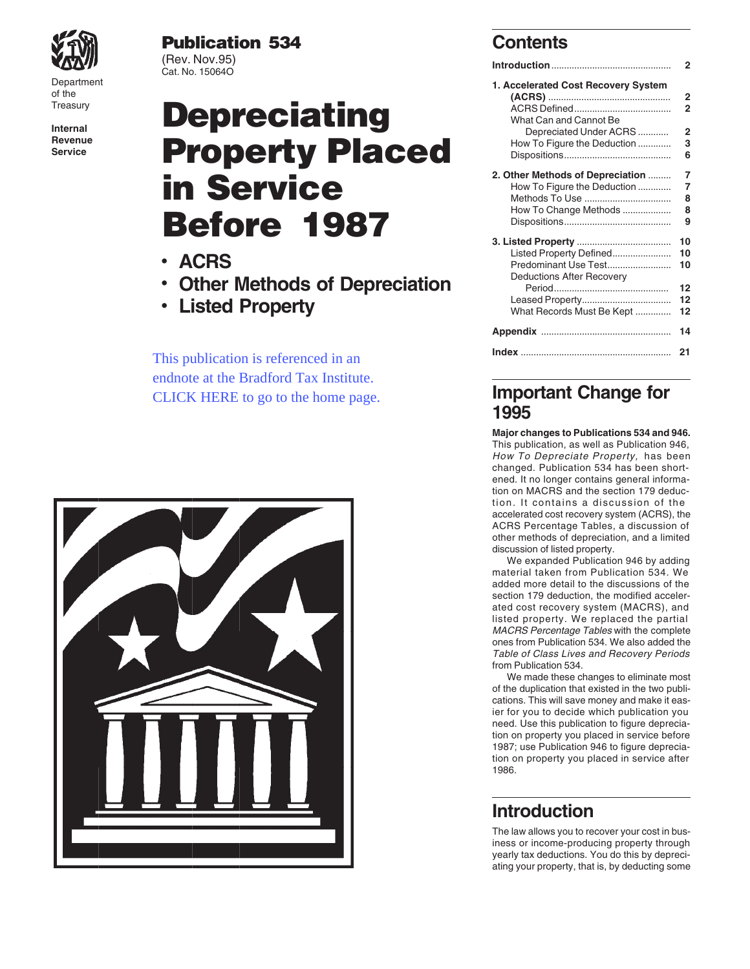

## **Publication 534 Contents**

# Treasury ACRS Defined...................................... **2 Depreciating** What Can and Cannot Be **Internal** Depreciated Under ACRS ............ **2 Revenue** How To Figure the Deduction ............. **3 Service Property Placed** Dispositions.......................................... **<sup>6</sup> in Service Before 1987**

- 
- Other Methods of Depreciation
- Listed Property

This publication is referenced in an endnote at the Bradford Tax Institute. [CLICK HERE to go to the home page.](http://bradfordtaxinstitute.com/index1.aspx)



| VAXVII               | (Rev. Nov.95)<br>Cat. No. 15064O     |                                     |  |
|----------------------|--------------------------------------|-------------------------------------|--|
| Department<br>of the |                                      | 1. Accelerated Cost Recovery System |  |
| Treasury             | <b>Depreciating</b>                  | What Can and Cannot Be              |  |
| Internal             |                                      |                                     |  |
| Revenue<br>Service   | <b>Property Placed</b>               |                                     |  |
|                      |                                      | 2. Other Methods of Depreciation  7 |  |
|                      | in Service                           |                                     |  |
|                      |                                      |                                     |  |
|                      |                                      |                                     |  |
|                      | <b>Before 1987</b>                   |                                     |  |
|                      |                                      |                                     |  |
|                      |                                      | Listed Property Defined 10          |  |
|                      | · ACRS                               |                                     |  |
|                      | • Other Methods of Depreciation      | Deductions After Recovery           |  |
|                      |                                      |                                     |  |
|                      | • Listed Property                    | What Records Must Be Kept  12       |  |
|                      |                                      |                                     |  |
|                      |                                      |                                     |  |
|                      | This publication is referenced in an |                                     |  |

### **Important Change for 1995**

**Major changes to Publications 534 and 946.** This publication, as well as Publication 946, How To Depreciate Property, has been changed. Publication 534 has been shortened. It no longer contains general information on MACRS and the section 179 deduction. It contains a discussion of the accelerated cost recovery system (ACRS), the ACRS Percentage Tables, a discussion of other methods of depreciation, and a limited discussion of listed property.

We expanded Publication 946 by adding material taken from Publication 534. We added more detail to the discussions of the section 179 deduction, the modified accelerated cost recovery system (MACRS), and listed property. We replaced the partial MACRS Percentage Tables with the complete ones from Publication 534. We also added the Table of Class Lives and Recovery Periods from Publication 534.

We made these changes to eliminate most of the duplication that existed in the two publications. This will save money and make it easier for you to decide which publication you need. Use this publication to figure depreciation on property you placed in service before 1987; use Publication 946 to figure depreciation on property you placed in service after 1986.

### **Introduction**

The law allows you to recover your cost in business or income-producing property through yearly tax deductions. You do this by depreciating your property, that is, by deducting some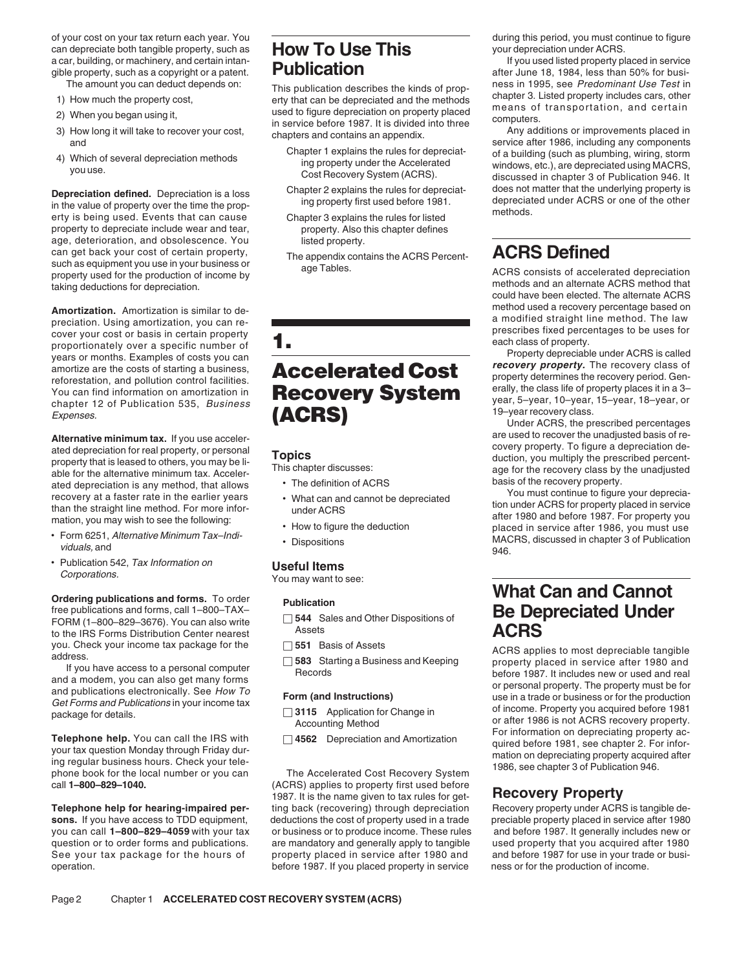of your cost on your tax return each year. You during to the **reach of the COV TO USE This** during this period, you must continue to figure can depreciate both tangible property, such as **HOW TO USE This** your depreciation can depreciate both tangible property, such as **HOW TO USE This** your depreciation under ACRS.<br>**According**, or machinery, and certain intan-<br> **Hotak Line at Leap is a complement of the controlled in service** in service a car, building, or machinery, and certain intan-<br>gible property, such as a convright or a patent **Publication** 

- 
- 
- 
- 
- 

**Depreciation defined.** Depreciation is a loss chapter 2 explains the rules for depreciat-<br>in the value of property over the time the prop-<br>erty is being used. Events that can cause Chapter 3 explains the rules for listed property to depreciate include wear and tear, property. Also this chapter defines age, deterioration, and obsolescence. You listed property. can get back your cost of certain property,<br>such as equipment you use in your business or age Tables.<br>ACRS consists of acceler

preciation. Using amortization, you can re-<br>
cover your cost or basis in certain property<br>
proportionately over a specific number of<br>
years or months. Examples of costs you can<br>
amortize are the costs of starting a busines

ated depreciation is any method, that allows <br>recovery at a faster rate in the earlier years <br>than the straight line method. For more infor-<br>than the straight line method. For more infor-<br>than the straight line method. For

- 
- Publication 542, Tax Information on **Useful Items**<br>*Corporations.* You may want to see:

free publications and forms, call 1–800–TAX–<br>
FORM (1–800–829–3676). You can also write  $\Box$  544 Sales and Other Dispositions of **ACRS**<br>
you. Check your income tax package for the  $\Box$  551 Basis of Assets **ACRS** <br>
ACRS an

call **1–800–829–1040.** (ACRS) applies to property first used before

sons. If you have access to TDD equipment, deductions the cost of property used in a trade

This publication describes the kinds of prop-<br>
1) How much the property cost,<br>
2) When you began using it,<br>
3) How long it will take to recover your cost,<br>
4) Which of several depreciation methods<br>
4) Which of several depr

- 
- 
- 
- 

# chapter 12 of Publication 535, Business<br>Expenses. **(ACRS)** Under ACRS, the prescribed percentages<br>Under ACRS, the prescribed percentages

- 
- 
- 
- 

- 
- 
- 

- 
- 

1987. It is the name given to tax rules for get-**Recovery Property**<br>ting back (recovering) through depreciation Recovery property under ACRS is tangible de-**Telephone help for hearing-impaired per-** ting back (recovering) through depreciation Recovery property under ACRS is tangible designed and service after 1980 you can call **1–800–829–4059** with your tax or business or to produce income. These rules and before 1987. It generally includes new or question or to order forms and publications. are mandatory and generally apply to tangible used property that you acquired after 1980 See your tax package for the hours of property placed in service after 1980 and and before 1987 for use in your trade or busioperation. before 1987. If you placed property in service ness or for the production of income.

gible property, such as a copyright or a patent. **PUDIICATION** after June 18, 1984, less than 50% for busi-<br>The amount you can deduct depends on: This publication describes the kinds of axes in 1995, see *Predominant Use T* 

such as equipment you use in your business or age Tables.<br>property used for the production of income by age Tables.<br>taking deductions for depreciation. The alternate ACRS method that could have been elected. The alternate Amortization. Amortization is similar to de-<br> **Amortization** a modified straight line method. The law<br> **Amortization** is similar to de-<br> **Amortization** is similar to de-<br> **Amortization** is similar to de-

**Alternative minimum tax.** If you use acceler-<br>ated depreciation for real property, or personal<br>property that is leased to others, you may be li-<br>able for the alternative minimum tax. Acceler-<br>able for the recovery class b

mation, you may wish to see the following:<br>• Form 6251, Alternative Minimum Tax-Indi-<br>• Form 6251, Alternative Minimum Tax-Indi-<br>• Dispositions<br>• Dispositions<br>• Dispositions<br>946.<br>946.

# **Ordering publications and forms.** To order **Publication**<br> **Publication**<br> **Publication**<br> **Publication**<br> **Pe Denreciated Under**

sou. Check your income tax package for the<br>
and a modern, you can also get many forms<br>
and a modem, you can also get many forms<br>
and a modem, you can also get many forms<br>
and a modem, you can also get many forms<br>
and pub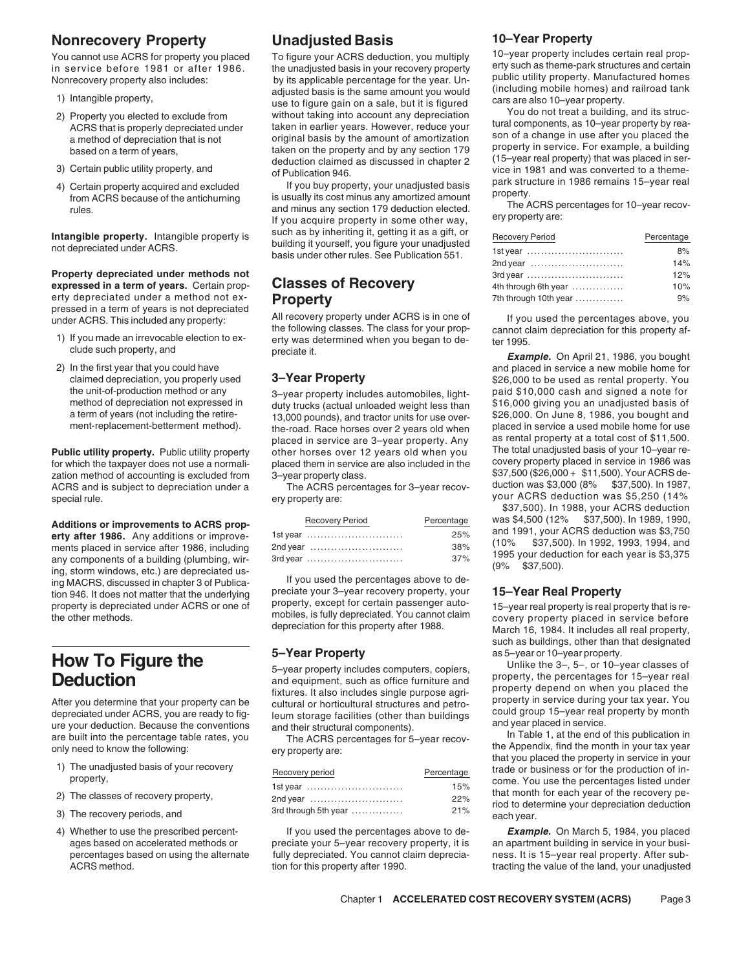## **Nonrecovery Property Inadjusted Basis 10–Year Property<br>You cannot use ACBS for property you placed To figure your ACBS deduction you multiply 10–year property includes certain real prop-**

- 
- 
- 
- 

Property depreciated under methods not **expressed in a term of years.** Certain prop- **Classes of Recovery** erty depreciated under a method not ex-<br>pressed in a term of years is not depreciated

- 
- 

zation method of accounting is excluded from 3-year property class. \$37,500 (\$26,000 + \$11,500). Your ACRS de-<br>ACRS and is subject to depreciation under a The ACRS percentages for 3-year recoy- duction was \$3,000 (8% \$37,5 ACRS and is subject to depreciation under a The ACRS percentages for 3–year recovspecial rule. **Example 20** is the ery property are: when the ery property are: when the special rule.

any components of a building (plumbing, wir-<br> $\frac{37\%}{37\%}$  37% and  $\frac{1990 \text{ y} \cdot \text{y}}{37,500}$ . ing, storm windows, etc.) are depreciated used to the percentages above to de-<br>ing MACRS, discussed in chapter 3 of Publica-<br>tion 946. It does not matter that the underlying preciate your 3-year recovery property, your **15** 

depreciated under ACRS, you are ready to fig-<br>
ure your deduction. Because the conventions and their ctructural components and year placed in service. ure your deduction. Because the conventions and their structural components). The act and year placed in service<br>are built into the percentage table rates, you The ACRS percentages for 5-year recov- In Table 1, at the end

- 
- 
- 
- 

Nonrecovery property includes a critain real prop-<br>
in service before 1981 or after 1986. To figure your ACRS deduction, you multiply<br>
in service before 1981 or after 1986.<br>
Monrecovery property also includes:<br>
Nonrecovery

4) Certain property acquired and excluded the susually its cost minus any amortized basis from ACRS because of the antichurning is usually its cost minus any amortized amount and minus any section 179 deduction elected. Th Intangible property. Intangible property is such as by inheriting it, getting it as a gift, or absolution of the<br>1986 hot depreciated under ACRS. The building it yourself, you figure your unadjusted and the server who are

pressed in a term of years is not depressions. All recovery property under ACRS is in one of frequencies above, you<br>under ACRS. This included any property: the following classes. The class for your prop-<br>cannot claim depre the following class for a last formulation for the class for the class for the claim departum departum departu<br>claim depending to the intervention of the such property, and the preciate it.

the unit-of-production method or any sagree of the areas property includes automobiles, light-<br>1950 method of depreciation not expressed in the duty trucks (actual unloaded weight less than \$16,000 giving you an unadjusted method of depreciation not expressed in duty trucks (actual unloaded weight less than \$16,000 giving you an unadjusted basis of a term of years (not including the retire-<br>a term of years (not including the retire-<br>13,000 p a term of years (not including the retire-<br>13,000 pounds), and tractor units for use over- \$26,000. On June 8, 1986, you bought and<br>13,000 pounds; and tractor units for units for place of the road Race horses over 2 years the-road. Race horses over 2 years old when placed in service a used mobile home for use<br>placed in service are 3-year property. Any as rental property at a total cost of \$11,500. placed in service are 3-year property. Any **Public utility property.** Public utility property<br>
for which the taxnaver does not use a normali-<br>
placed them in service are also included in the covery property placed in service in 1986 was for which the taxpayer does not use a normali-<br>- placed them in service are also included in the covery property placed in service in 1986 was<br>-vear property class. The uncluded in the sample over y 20,000 + \$11,500). Your

| Additions or improvements to ACRS prop-       | <b>Recovery Period</b> | Percentage | was \$4,500 (12% \$37,500). In 1989, 1990,   |
|-----------------------------------------------|------------------------|------------|----------------------------------------------|
| erty after 1986. Any additions or improve-    | 1st vear               | 25%        | and 1991, your ACRS deduction was \$3,750    |
| ments placed in service after 1986, including | 2nd year               | 38%        | (10% \$37,500). In 1992, 1993, 1994, and     |
| any components of a building (plumbing, wir-  |                        | 37%        | 1995 your deduction for each year is \$3,375 |

After you determine that your property can be<br>After you determine that your property can be<br>depreciated under ACRS, you are ready to fig-<br>leum storage facilities (other than buildings could group 15-year real property by m

| Recovery period                 | Percentage |
|---------------------------------|------------|
| lst year                        | 15%        |
| 2nd year                        | 22%        |
| $3rd$ through 5th year $\ldots$ | 21%        |
|                                 |            |

percentages based on using the alternate fully depreciated. You cannot claim deprecia- ness. It is 15–year real property. After sub-

| Percentage |
|------------|
| 8%         |
| 14%        |
| 12%        |
| 10%        |
| 9%         |
|            |

clude such property, and preciate it. **Example.** On April 21, 1986, you bought 2) In the first year that you could have  $\blacksquare$  2) In the first year that you could have and placed in service a new mobile home for<br>
20.000 to be used as rental property. You<br>
3-Year Property claimed depreciation, you properly used **3-Year Property 3-Year 100 to be used as rental property. You**<br>the unit-of-production method or any and a super property includes automobiles light-<br>paid \$10,000 cash and signed a

\$37,500). In 1988, your ACRS deduction

property is depreciated under ACRS or one of property, except for certain passenger auto-<br>mobiles, is fully depreciated. You cannot claim covery property placed in service before<br>March 16, 1984. It includes all real proper such as buildings, other than that designated

How To Figure the strategy of the strategy of the set of the set of the set of the set of the set of the set of the set of the set of the set of the set of the set of the set of the set of the set of the set of the set of

are built into the percentage table rates, you Inte ACRS percentages for 5-year recov-<br>only need to know the following: environerty are: https://www.the Appendix, find the month in your tax year and the Appendix, find the month in your tax year<br>
the Appendix, find the month in your tax year<br>
that you placed the property in service in your<br>
property,<br>
2) The classes of recovery property,<br>
2) The classes of recovery

4) Whether to use the prescribed percent- If you used the percentages above to de- **Example.** On March 5, 1984, you placed ages based on accelerated methods or preciate your 5–year recovery property, it is an apartment building in service in your busi-ACRS method. This property after 1990. This property after 1990. This is a tracting the value of the land, your unadjusted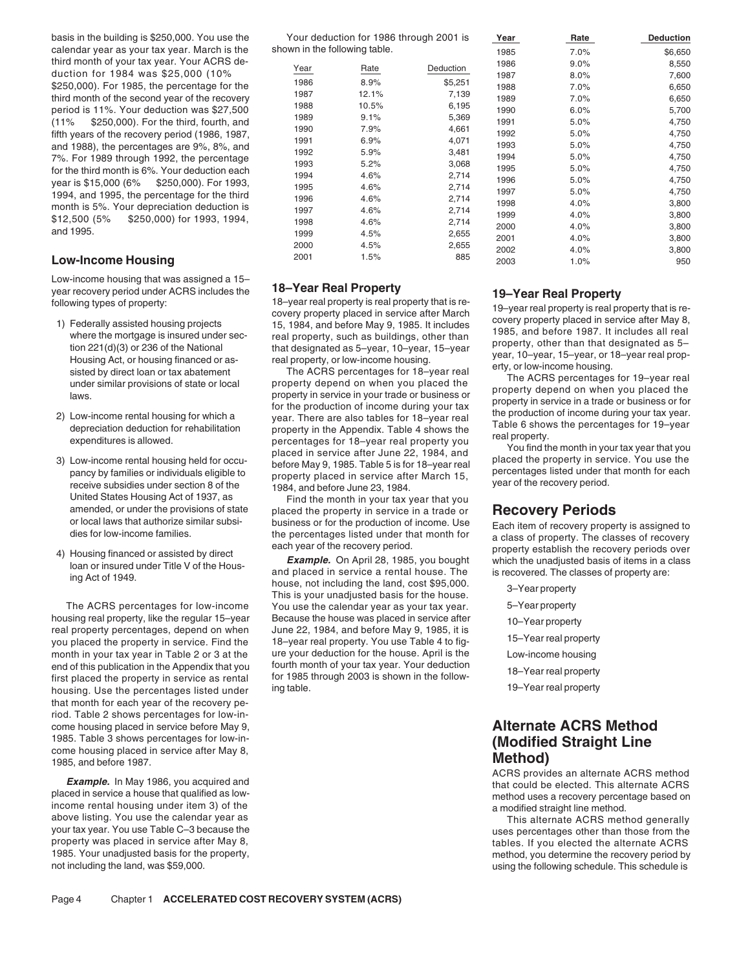basis in the building is \$250,000. You use the Your deduction for 1986 through 2001 is Year Rate Rate Deduction calendar year as your tax year. March is the third month of your tax year. Your ACRS deduction for 1984 was \$25,000 (10% \$250,000). For 1985, the percentage for the third month of the second year of the recovery period is 11%. Your deduction was \$27,500 (11% \$250,000). For the third, fourth, and fifth years of the recovery period (1986, 1987, and 1988), the percentages are 9%, 8%, and 7%. For 1989 through 1992, the percentage

### **Low-Income Housing**

Low-income housing that was assigned a 15–

- 
- 
- 
- 

The ACRS percentages for low-income You use the calendar year as your tax year. 5-Year property housing real property, like the regular 15-year Because the house was placed in service after 10-Year property nousing real property, like the regular 15-year<br>real property percentages, depend on when June 22, 1984, and before May 9, 1985, it is<br>you placed the property in service. Find the 18-year real property. You use Table 4 to month in your tax year in Table 2 or 3 at the ure your deduction for the house. April is the Low-income housing<br>end of this publication in the Appendix that you fourth month of your tax year. Your deduction end of this publication in the Appendix that you fourth month of your tax year. Your deduction<br>for 1985 through 2003 is shown in the follow-<br>housing Use the percentages listed under ing table. The shown in the follow-<br>19–Y housing. Use the percentages listed under that month for each year of the recovery period. Table 2 shows percentages for low-income housing placed in service before May 9, **Alternate ACRS Method**<br>1985. Table 3 shows percentages for low-in-<br>**Alternate ACRS Method** 1985. Table 3 shows percentages for low-in-<br>
come housing placed in service after May 8,<br>
1985, and before 1987.<br> **Method) Method Method CRS** provides an alternate ACRS method

Example. In May 1986, you acquired and<br>placed in service a house that qualified as low-<br>method uses a recovery percentage hased on placed in service a house that qualified as low-<br>income rental housing under item 3) of the a modified straight line method.<br>a modified straight line method.<br>This alternate ACRS method generally above listing. You use the calendar year as This alternate ACRS method generally<br>your tax year. You use Table C-3 because the This alternative and the set of the than those from the your tax year. You use Table C–3 because the uses percentages other than those from the uses percentages other than those from the property was placed in service after May 8, property was placed in service after May 8, the service are served to be alternate ACRS of the alternate ACRS<br>The service after the property, the service of the property, the service of the service of the service of the<br>Th 1985. Your unadjusted basis for the property,<br>
not including the land, was \$59,000.<br>
not including the land, was \$59,000.

| Your deduction for 1986 through 2001 is |  |
|-----------------------------------------|--|
| shown in the following table.           |  |

| calendar year as your tax year. March is the    | shown in the following table. |       |           | 1985 | 7.0% | \$6,650 |
|-------------------------------------------------|-------------------------------|-------|-----------|------|------|---------|
| third month of your tax year. Your ACRS de-     |                               |       | Deduction | 1986 | 9.0% | 8,550   |
| duction for 1984 was \$25,000 (10%              | Year                          | Rate  |           | 1987 | 8.0% | 7,600   |
| \$250,000). For 1985, the percentage for the    | 1986                          | 8.9%  | \$5,251   | 1988 | 7.0% | 6,650   |
| third month of the second year of the recovery  | 1987                          | 12.1% | 7,139     | 1989 | 7.0% | 6,650   |
| period is 11%. Your deduction was \$27,500      | 1988                          | 10.5% | 6,195     | 1990 | 6.0% | 5,700   |
| (11%<br>\$250,000). For the third, fourth, and  | 1989                          | 9.1%  | 5,369     | 1991 | 5.0% | 4,750   |
| fifth years of the recovery period (1986, 1987, | 1990                          | 7.9%  | 4,661     | 1992 | 5.0% | 4,750   |
|                                                 | 1991                          | 6.9%  | 4,071     | 1993 | 5.0% | 4,750   |
| and 1988), the percentages are 9%, 8%, and      | 1992                          | 5.9%  | 3,481     | 1994 | 5.0% | 4,750   |
| 7%. For 1989 through 1992, the percentage       | 1993                          | 5.2%  | 3,068     | 1995 | 5.0% | 4,750   |
| for the third month is 6%. Your deduction each  | 1994                          | 4.6%  | 2,714     |      |      |         |
| vear is \$15,000 (6%<br>\$250,000). For 1993,   | 1995                          | 4.6%  | 2,714     | 1996 | 5.0% | 4,750   |
| 1994, and 1995, the percentage for the third    | 1996                          | 4.6%  | 2,714     | 1997 | 5.0% | 4,750   |
| month is 5%. Your depreciation deduction is     | 1997                          | 4.6%  | 2,714     | 1998 | 4.0% | 3,800   |
| \$12,500 (5%<br>\$250,000) for 1993, 1994,      | 1998                          | 4.6%  | 2,714     | 1999 | 4.0% | 3,800   |
| and 1995.                                       | 1999                          |       |           | 2000 | 4.0% | 3,800   |
|                                                 |                               | 4.5%  | 2,655     | 2001 | 4.0% | 3,800   |
|                                                 | 2000                          | 4.5%  | 2,655     | 2002 | 4.0% | 3,800   |
| <b>Low-Income Housing</b>                       | 2001                          | 1.5%  | 885       | 2003 | 1.0% | 950     |

year recovery period under ACRS includes the **18—Year Real Property**<br>
following types of property:<br>
19—**Year** Real Property<br>
19—**Year Real Property**<br>
19—**Year Real Property**<br>
19—**Year Real Property**<br>
19—**Year Real Property** 

United States Housing Act of 1937, as Find the month in your tax year that you amended, or under the provisions of state placed the property in service in a trade or

amended, or under the provisions of state<br>or local laws that authorize similar subsi-<br>dies for low-income families.<br>A) Housing financed or assisted by direct<br>dies for low-income families.<br>A) Housing financed or assisted by

- 
- 
- 
- 
- 
- 
- 

using the following schedule. This schedule is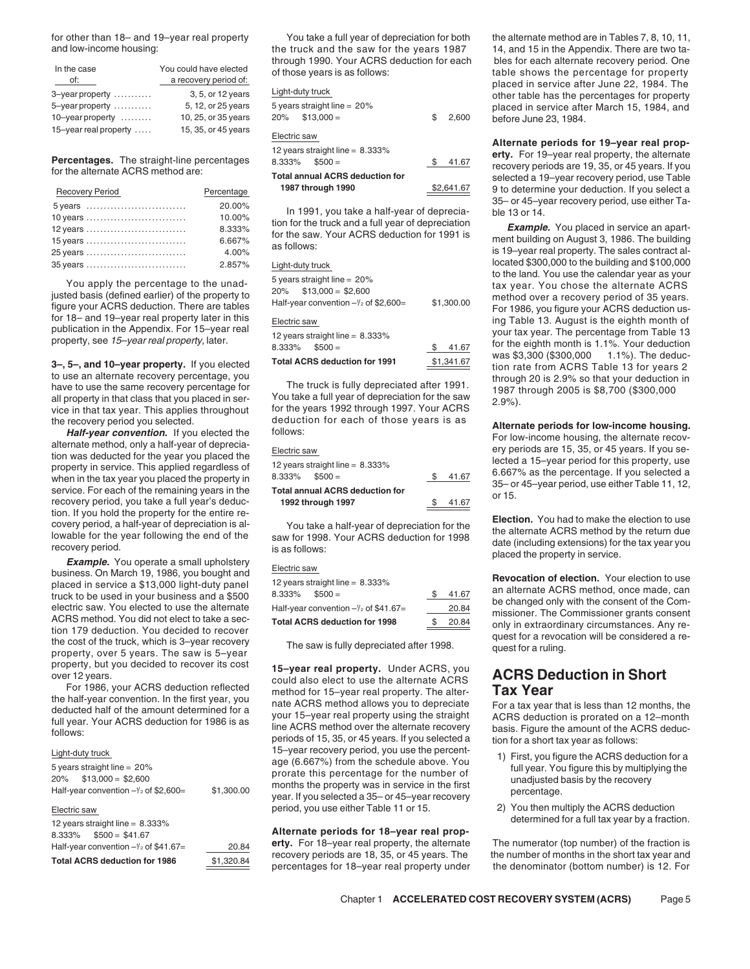for other than 18– and 19–year real property You take a full year of depreciation for both the alternate method are in Tables 7, 8, 10, 11,

| In the case<br>of:               | You could have elected<br>a recovery period of: |
|----------------------------------|-------------------------------------------------|
| 3-year property                  | 3, 5, or 12 years                               |
| 5-year property                  | 5, 12, or 25 years                              |
| $10$ -year property $\dots\dots$ | 10, 25, or 35 years                             |
| 15-year real property            | 15, 35, or 45 years                             |

| <b>Recovery Period</b> | Percentage | 1987 through 1990                                                                                  | \$2,641.67 | 9 to determine your deduction. If you select a                  |
|------------------------|------------|----------------------------------------------------------------------------------------------------|------------|-----------------------------------------------------------------|
| 5 years                | 20.00%     | In 1991, you take a half-year of deprecia-                                                         |            | 35- or 45-year recovery period, use either Ta-<br>ble 13 or 14. |
| 10 years               | 10.00%     |                                                                                                    |            |                                                                 |
| $12$ years             | 8.333%     | tion for the truck and a full year of depreciation<br>for the saw. Your ACRS deduction for 1991 is |            | <b>Example.</b> You placed in service an apart-                 |
| $15$ years             | 6.667%     | as follows:                                                                                        |            | ment building on August 3, 1986. The building                   |
| 25 years               | 4.00%      |                                                                                                    |            | is 19-year real property. The sales contract al-                |
| 35 years               | 2.857%     | Light-duty truck                                                                                   |            | located \$300,000 to the building and \$100,000                 |

of the method, when in the tax year you placed the property in<br>service. For each of the remaining years in the Total annual ACRS deduction for<br>recovery period, you take a full year's deduc-<br>or 15. The same of the covery pe

electric saw. You elected to use the alternate Half-year convention -1/2 of \$41.67=<br>ACRS method. You did not elect to take a sec-<br>tion 179 deduction. You decided to recover<br>the cost of the truck, which is 3-year recovery<br>p

|                                                 | 5 years straight line = $20\%$ |            |
|-------------------------------------------------|--------------------------------|------------|
|                                                 | $20\%$ \$13.000 = \$2.600      |            |
| Half-year convention $-\frac{1}{2}$ of \$2,600= |                                | \$1,300.00 |
| Elootric cow                                    |                                |            |

### **Alternate periods for 18–year real prop-**<br>8.333% \$500 = \$41.67 **Alternate periods for 18–year real property**, the alternate Half-year convention  $-\frac{y}{2}$  of \$41.67=

|                                                   |                     |                                        |            | placed in service after Julie 22, 1964. The      |
|---------------------------------------------------|---------------------|----------------------------------------|------------|--------------------------------------------------|
| 3-year property                                   | 3, 5, or 12 years   | Light-duty truck                       |            | other table has the percentages for property     |
| 5-year property                                   | 5, 12, or 25 years  | 5 years straight line = $20\%$         |            | placed in service after March 15, 1984, and      |
| 10-year property $\dots\dots$                     | 10, 25, or 35 years | $$13,000 =$<br>20%                     | \$2,600    | before June 23, 1984.                            |
| 15-year real property $\dots$                     | 15, 35, or 45 years | Electric saw                           |            | Alternate periods for 19-year real prop-         |
|                                                   |                     | 12 years straight line = $8.333\%$     |            | erty. For 19-year real property, the alternate   |
| <b>Percentages.</b> The straight-line percentages |                     | $$500 =$<br>8.333%                     | \$ 41.67   | recovery periods are 19, 35, or 45 years. If you |
| for the alternate ACRS method are:                |                     | <b>Total annual ACRS deduction for</b> |            | selected a 19-year recovery period, use Table    |
| <b>Recovery Period</b>                            | Percentage          | 1987 through 1990                      | \$2,641.67 | 9 to determine your deduction. If you select a   |

| 5 years straight line $=20\%$                   |             |
|-------------------------------------------------|-------------|
| $20\%$ \$13.000 = \$2.600                       |             |
| Half-year convention $-\frac{1}{2}$ of \$2,600= | \$1,300.00  |
| Electric saw                                    |             |
| 12 years straight line = $8.333\%$              |             |
| $8.333\%$ $$500 =$                              | \$<br>41.67 |
| <b>Total ACRS deduction for 1991</b>            | \$1.341.67  |

| Electric saw                       |       |
|------------------------------------|-------|
| 12 years straight line = $8.333\%$ |       |
| $8.333\%$ $$500 =$                 | 41.67 |
| Total annual ACRS deduction for    |       |
| 1992 through 1997                  | 41.67 |
|                                    |       |

| 12 years straight line = 8.333%                 |       |
|-------------------------------------------------|-------|
| $8.333\%$ $$500 =$                              | 41.6  |
| Half-year convention $-\frac{y}{2}$ of \$41.67= | 20.84 |
| Total ACRS deduction for 1998                   | 20.84 |
|                                                 |       |

property, but you decided to recover its cost<br>over 12 years.<br>For 1986, your ACRS deduction reflected<br>the half-year convention. In the first year, you<br>deducted half of the amount determined for a<br>deducted half of the amount Light-duty truck tube the accovery period, you use the percent-<br>
5 years straight line = 20% age (6.667%) from the schedule above. You<br>
20% \$13,000 = \$2,600 \$1,300.00 \$1,300.00 \$1,300.00 months the property was in servic months the property was in service in the first<br>year. If you selected a 35– or 45–year recovery<br>percentage. 2) You then multiply the ACRS deduction ectric saw period, you use either Table 11 or 15.

**erty.** For 18–year real property, the alternate The numerator (top number) of the fraction is recovery periods are 18, 35, or 45 years. The the number of months in the short tax year and  $\frac{$1,320.84}{2}$  percentages for 18-year real property under the denominator (bottom number) is 12. For

14, and 15 in the Appendix. There are two tathrough 1990. Your ACRS deduction for each<br>of those years is as follows:<br>table shows the percentage for property<br>placed in service after June 22, 1984. The<br>dight-duty truck before June 23, 1984.

9 to determine your deduction. If you select a<br>35– or 45–year recovery period, use either Ta-

195 1 1 years truck<br>35 years receipt line to the land. You use the calendar year as your<br>4.577% located \$300,000 to the land. You use the calendar year as your You apply the percentage to the unad-<br>
years straight line = 20%<br>
justed basis (defined earlier) of the property to<br>
figure your ACBS deduction. There are tables<br>
Half-year convention -/2 of \$2,600=<br>
Half-year convention Figure your ACRS deduction. There are tables<br>for 18– and 19-year real property later in this<br>publication in the Appendix. For 15-year real property, such that is the eighth month of<br>property, see 15-year real property, la

the recovery period you selected.<br> **Half-year convention.** If you elected the follows:<br> **Half-year convention.** If you elected the follows:<br> **Half-year convention.** If you elected the follows:<br> **Electric saw**<br> **Electric sa** 

Election. If you hold the property for the entire re-<br>
covery period, a half-year of depreciation is al-<br>
lowable for the year following the end of the<br>
recovery period.<br>
lowable for the year following the end of the<br>
reco

placed in service a \$13,000 light-duty panel<br>truck to be used in your business and a \$500  $\frac{8.333\%}{500}$   $\frac{8.333\%}{500}$   $\frac{8.41.67}{20.84}$  an alternate ACRS method, once made, can<br>electric saw. You elected to use t

- 
- determined for a full tax year by a fraction.<br>12 years straight line = 8.333%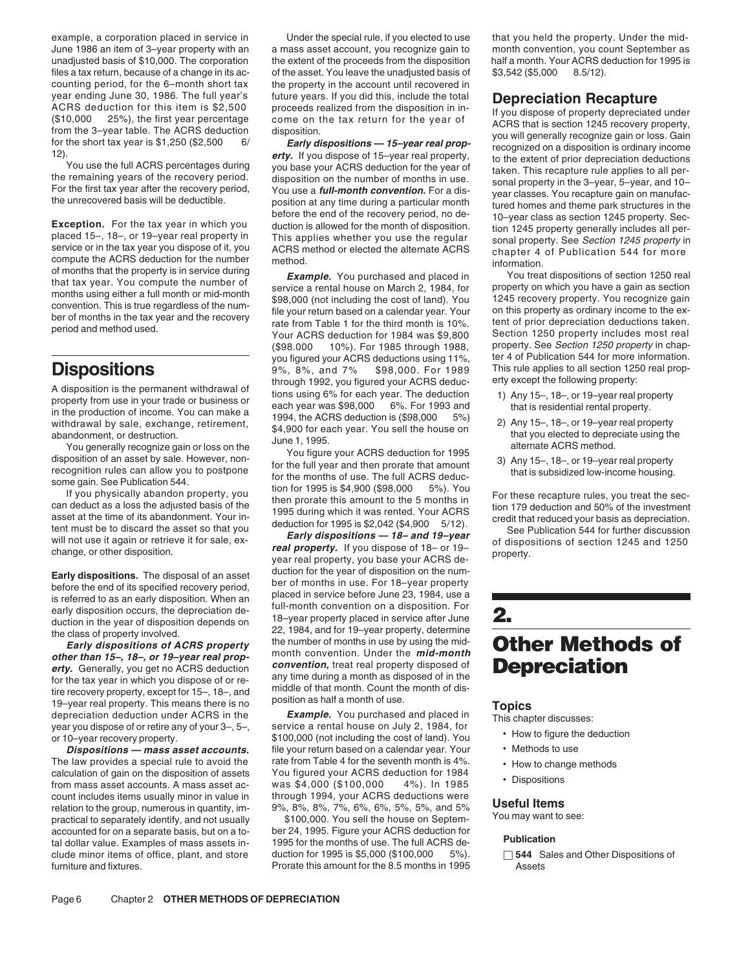example, a corporation placed in service in example refore the special rule, if you elected to use that you held the property. Under the mid-<br>June 1986 an item of 3–year property with an a mass asset account, you recognize unadjusted basis of \$10,000. The corporation the extent of the proceeds from the disposition half a month. Your ACRS deduction for 1995 is files a tax return, because of a change in its ac- of the asset. You leave the unadjusted basis of  $$3,542 ($5,000 \quad 8.5/12$ ). counting period, for the 6–month short tax the property in the account until recovered in

The law provides a special rule to avoid the rate from Table 4 for the seventh month is 4%.<br>
calculation of gain on the disposition of assets You figured your ACRS deduction for 1984<br>
from mass asset accounts. A mass asset count includes items usually minor in value in examing the group, numerous in quantity, im-<br>  $9\%, 8\%, 8\%, 7\%, 6\%, 6\%, 5\%, 5\%, and 5\%$ <br>
practical to separately identify, and not usually \$100,000. You sell the house on Septem- You may want to see:

(\$98.000 10%). For 1985 through 1988, property. See Section 1250 property in chap-<br>you figured your ACRS deductions using 11%, ter 4 of Publication 544 for more information. you figured your ACRS deductions using 11%, **Dispositions** 9%, 8%, and 7% \$98,000. For 1989 This rule applies to all section 1250 real prop-<br>through 1992, you figured your ACRS deduc-A disposition is the permanent withdrawal of through 1992, you figured your ACRS deduc-<br>property from use in your trade or business or<br>in the production of income. You can make a<br>withdrawal by sale, exchange, retirement,<br>a

Frace gain of an asset by sale. However, non-<br>
recognition of an asset by sale. However, non-<br>
if you physically abandon property, you<br>
if you physically abandon property, you<br>
if you physically abandon property, you<br>
if y

Early dispositions. The disposal of an asset<br>
before the od of tis specified recovery period,<br>
is referred to as an early disposition. When an<br>
is referred to as an early disposition. When an<br>
each phased in service before

**Dispositions — mass asset accounts.** File your return based on a calendar year. Your **•** Methods to use

accounted for on a separate basis, but on a to-<br>
tal dollar value. Examples of mass assets in-<br>
clude minor items of office, plant, and store duction for 1995 is \$5,000 (\$100,000 5%).  $\Box$  544 Sale clude minor items of office, plant, and store duction for 1995 is \$5,000 (\$100,000 5%). □ **544** Sales and Other Dispositions of furniture and fixtures. The state of the 8.5 months in 1995 and fixtures. The State of the 8.5 months in 1995

a mass asset account, you recognize gain to month convention, you count September as

year ending June 30, 1986. The full year's three years, if you did this, include the total that its particular to this is the search of the state preceding to the first year and the coverage of the state properties are pre

- 
- 
- 

- 
- 
- 
- 
-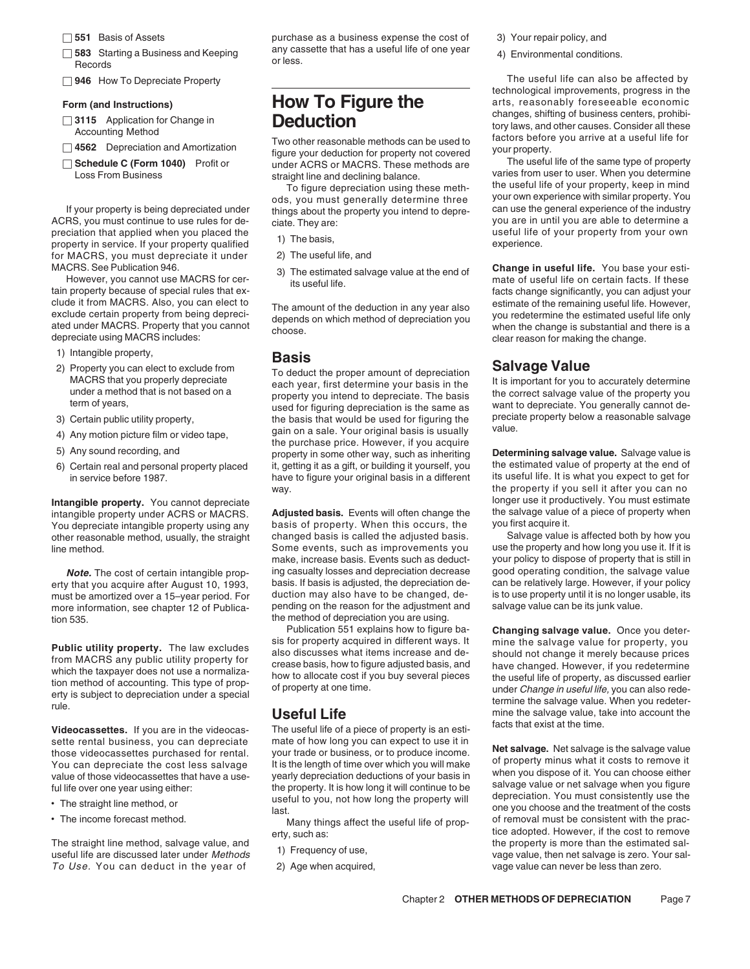- 
- 
- 

- 
- 
- 

ACRS, you must continue to use rules for de-<br>  $\frac{1}{2}$  ciate. They are:<br>  $\frac{1}{2}$  ciate. They are:<br>  $\frac{1}{2}$  ciate. They are:<br>  $\frac{1}{2}$  continues are:<br>  $\frac{1}{2}$  seful life of your property from your own property in a upplied which you placed in the useful life of your property in service. If your property qualified the basis, property our property qualified for your property qualified for MACRS, you must depreciate it und for MACRS, you must depreciate it under

- 
- 1) Intangible property,<br>
2) Property you can elect to exclude from **Basis**
- 
- 
- 
- 

other reasonable method, usually, the straight

more information, see chapter 12 of Publicathe method of depreciation you are using.<br>Publication 551 explains how to figure ba-<br>Publication 551 explains how to figure ba-

facts that exist at the time. **Videocassettes.** If you are in the videocas- The useful life of a piece of property is an esti-

- 
- 

To Use. You can deduct in the year of 2) Age when acquired, entitled and vage value can never be less than zero.

□ 551 Basis of Assets **purchase as a business expense the cost of** 3) Your repair policy, and □ 583 Starting a Business and Keeping any cassette that has a useful life of one year 4) Environmental conditions.<br>Records

□ 4502 Depreciation and Amontization<br> **□ Schedule C (Form 1040)** Profit or The useful life of the same type of property<br>
Loss From Business extrained the and declining balance varies from user to user. When you determine

If your property is being depreciated under things about the property you intend to depre-<br>
RS, you must continue to use rules for de-<br>
ciate They are:<br>
They are:<br>
They are:<br>
You are in until you are able to determine a

- 
- 
- 

2) Property you can elect to exclude from<br>
MACRS that you properly depreciate<br>
under a method that is not based on a<br>
term of years,<br>
term of years,<br>
used for figuring depreciation is the same as<br>
used for figuring depreci 4) Any motion picture film or video tape,<br>
the purchase price. However, if you acquire<br>
5) Any sound recording, and<br>
6) Certain real and personal property placed it, getting it as a gift, or building it yourself, you the e 6) Certain real and personal property placed it, getting it as a gift, or building it yourself, you the estimated value of property at the end of property at the end of property placed its useful life. It is what you expec in service before 1987. It is useful life. It is useful life. It is what is what is what is what is what is what is what is what is what is what is what is what is what is what is what is what is what is what is what is wh

intangible property under ACRS or MACRS. **Adjusted basis.** Events will often change the the salvage value value of a piece of a piece of a piece of property using any the salvage value of a piece of property. When this occ You depreciate intangible property using any basis of property. When this occurs, the you first acquire it.<br>other reasonable method, usually, the straight changed basis is called the adjusted basis. Salvage value is affect line method. Some events, such as improvements you use the property and how long you use it. If it is make, increase basis. Events such as deduct-<br>
ing casualty losses and depreciation decrease good operating condition, the salvage value **Note.** The cost of certain intangible prop- ing casualty losses and depreciation decrease good operating condition, the salvage value value by that your policy chat the salvage value of that your policy of that your polic erty that you acquire after August 10, 1993, basis. If basis is adjusted, the depreciation de- can be relatively large. However, if your policy<br>must be amortized over a 15-year period. For duction may also have to be chang must be amortized over a 15–year period. For duction may also have to be changed, de- is to use property until it is no longer<br>more information, see chapter 12 of Publica- pending on the reason for the adjustment and salva

Sette rental business, you can depreciate mate of how long you can expect to use it in<br>
those videocassettes purchased for rental.<br>
You can depreciate the cost less salvage list is the length of time over which you will ma

- 
- 

Chapter 2 **OTHER METHODS OF DEPRECIATION** Page 7

□ **946** How To Depreciate Property **The useful life can also be affected by** The useful life can also be affected by technological improvements, progress in the Form (and Instructions)<br> **Form (and Instructions)**<br> **How To Figure the** arts, reasonably foreseeable economic<br>
changes, shifting of business centers, prohibi-3115 Application for Change in<br>Accounting Method Two other reasonable methods can be used to<br>Two other reasonable methods can be used to<br>figure your deduction for property into covered your property.

straight line and declining balance.<br>
To figure depreciation using these meth-<br>
ods, you must generally determine three<br>
the useful life of your property, keep in mind<br>
your own experience with similar property. You<br>
thing

MACRS. See Publication 946.<br>However, you cannot use MACRS for cer-<br>tis useful life. eacly age value at the end of the mate of useful life. You base your esti-<br>facts change significantly, you can adjust your clude it from MACRS. Also, you can elect to The amount of the deduction in any year also estimate of the remaining useful life. However,<br>exclude certain property from being depreci-<br>ated under MACRS. Property that you cann

3) Certain public utility property, the basis that would be used for figuring the preciate property below a reasonable salvage can on a sale Your criginal basis is usually value.

way.<br>the property if you sell it after you can no<br>longer use it productively. You must estimate Intangible property. You cannot depreciate<br>intangible property under ACRS or MACRS. Adjusted basis. Events will often change the salvage value of a piece of property when

Changing salvage value. Once you deter-**Public utility property.** The law excludes<br>
from MACRS any public utility property for<br>
which the taxpayer does not use a normaliza-<br>
tion method of accounting. This type of prop-<br>
erty is subject to depreciation under a

• The income forecast method. Many things affect the useful life of prop-<br>erty, such as:<br>erty, such as:<br>exty, such as: erty, such as:<br>The straight line method, salvage value, and<br>useful life are discussed later under *Methods* 1) Frequency of use,<br>useful life are discussed later under *Methods* 1) Frequency of use,<br>vage value, then net sal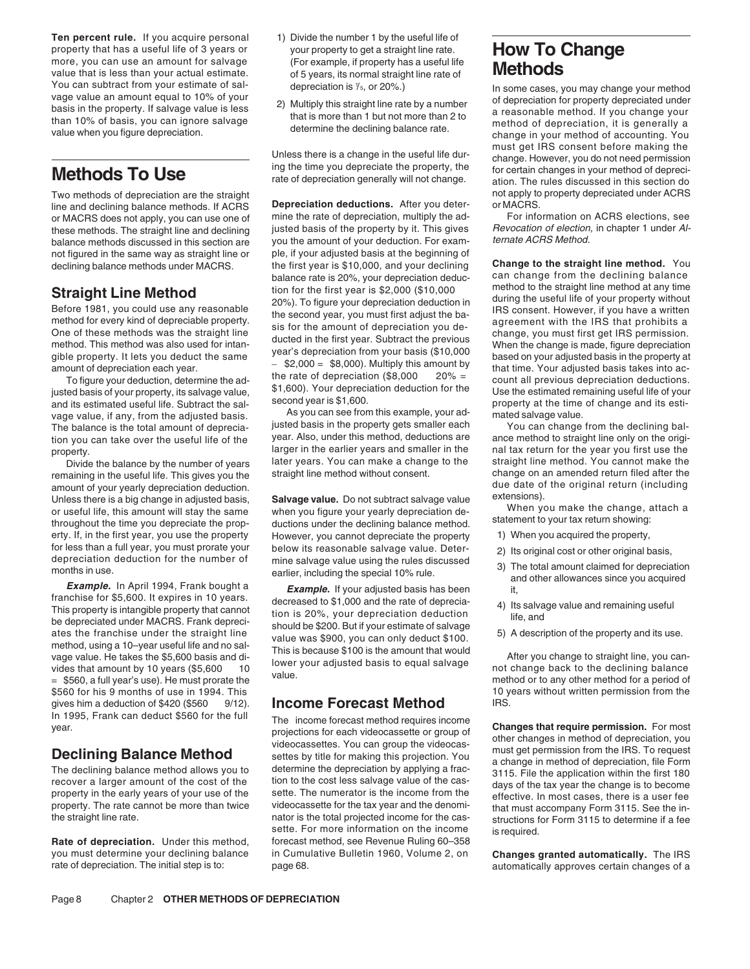**Ten percent rule.** If you acquire personal 1) Divide the number 1 by the useful life of property that has a useful life of 3 years or<br>more, you can use an amount for salvage (For example, if property has a useful life<br>value that is less than your actual estimate<br>of 5 years its normal straight line rate of value that is less than your actual estimate. of 5 years, its normal straight line rate of You can subtract from your estimate of sal-<br>vage value an amount equal to 10% of your

line and declining balance methods. If ACRS **Depreciation deductions.** After you deter- or MACRS.<br>or MACRS does not apply, you can use one of mine the rate of depreciation, multiply the ad- For information on ACRS election or MACRS does not apply, you can use one of mine the rate of depreciation, multiply the ad-<br>these methods. The straight line and declining justed basis of the property by it. This gives *Revocation of election,* in chapter these methods. The straight line and declining justed basis of the property by it. This gives Revocation of election<br>halance methods discussed in this section are vou the amount of your deduction. For exam- ternate ACRS Me balance methods discussed in this section are you the amount of your deduction. For examnet figured in the same way as straight line or ple, if your adjusted basis at the beginning of not figured in the same way as straight line or

vage value, if any, from the adjusted basis. As you can see from this example, your ad- mated salvage value.<br>The balance is the total amount of deprecia- justed basis in the property gets smaller each You can change from t The balance is the total amount of deprecia-<br>The property gets smaller each You can take over the useful life of the vear. Also, under this method, deductions are

remaining in the useful life. This gives you the straight line method without consent.<br>
amount of your yearly depreciation deduction.<br>
Unless there is a big change in adjusted basis,<br>
or useful life, this amount will stay erty. If, in the first year, you use the property However, you cannot depreciate the property 1) When you acquired the property, for less than a full year, you must prorate your below its reasonable salvage value. Deter-<br>depreciation deduction for the number of mine salvage value using the rules discussed as The total amount claimed for depreciation

months in use.<br> **Example.** In April 1994, Frank bought a<br> **Example.** In April 1994, Frank bought a<br> **Example.** If your adjusted basis has been<br>
franchise for \$5,600. It expires in 10 years.<br>
This property is intangible pro \$560 for his 9 months of use in 1994. This 10 years without written permission from the gives him a deduction of \$420 (\$560 9/12). **Income Forecast Method** IRS.<br>In 1995, Frank can deduct \$560 for the full The income forecast method requires income

**Rate of depreciation.** Under this method, forecast method, see Revenue Ruling 60–358

- 
- 

declining balance methods under MACRS. the first year is \$10,000, and your declining **Change to the straight line method.** Your helance rate is 20% your denreciation deduc-<br>balance rate is 20% your depreciation deduc- can balance rate is 20%, your depreciation deduc- can change from the declining balance<br>tion for the first vear is \$2,000 (\$10,000 method to the straight line method at any time **Straight Line Method**<br>
Before 1981, you could use any reasonable<br>
method to for every kind of depreciable property.<br>
method for every kind of depreciable property.<br>
method for every kind of depreciable property.<br>
method

property.<br>property. larger in the earlier years and smaller in the nal tax return for the year you first use the<br>Divide the balance by the number of years later years. You can make a change to the straight line method. You

In 1995, Frank can deduct \$560 for the full<br>year.<br>**Declining Balance Method** wideocassettes. You can group the videocassette or group of<br>The declining **Balance Method** wideocassettes. You can group the videocas-<br>The declin property in the early years of your use of the sette. The numerator is the income from the effective. In most cases, there is a user fee<br>property. The rate cannot be more than twice videocassette for the tax year and the d sette. For more information on the income is required. you must determine your declining balance in Cumulative Bulletin 1960, Volume 2, on **Changes granted automatically.** The IRS page 68. **Exercise of depreciation** is to the interest in the initial step is to page 68.

You can subtract from your estimate of sal-<br>vage value an amount equal to 10% of your<br>basis in the property. If salvage value is less and that is more than 1 but not more than 2 to<br>than 10% of basis, you can ignore salvag Unless there is a change in the useful life dur-<br>Unless there is a change in the useful life dur-<br>Importance. However, you do not need permission<br>In the state of depreciation generally will not change.<br>In the rules discuss Two methods of depreciation are the straight expreciation deductions. After you deter-<br>line and declining balance methods, If ACRS **Depreciation deductions.** After you deter- or MACRS.

To figure your deduction, determine the ad-<br>justed basis of your property, its salvage value,<br>and its estimated useful life. Subtract the sal-<br>ware value if any from the adjusted basis<br>and its estimated useful life. Subtr

tion you can take over the useful life of the year. Also, under this method, deductions are ance method to straight line only on the origi-<br>Iarger in the earlier years and smaller in the nal tax return for the year you fir Divide the balance by the number of years later years. You can make a change to the straight line method. You cannot make the straight line method between the useful life. This gives you the straight line method without co

- 
- 
- 
- 
- 

structions for Form 3115 to determine if a fee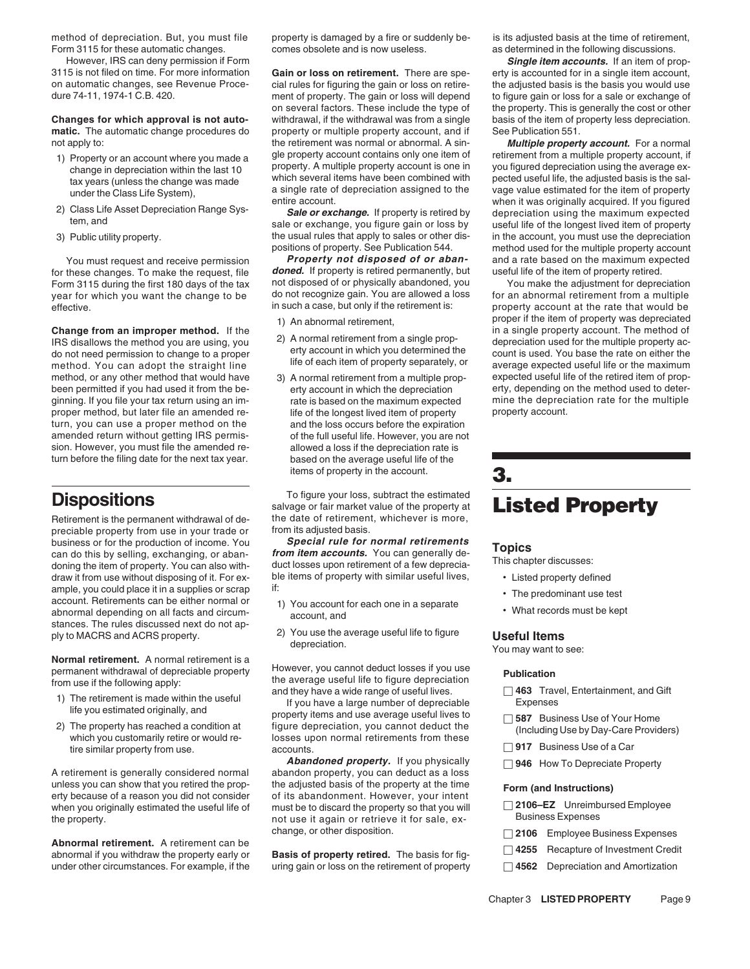3115 is not filed on time. For more information **Gain or loss on retirement.** There are spe- erty is accounted for in a single item account,

- 
- 
- 

for these changes. To make the request, file **doned.** If property is retired permanently, but useful life of the item of property retired. Form 3115 during the first 180 days of the tax not disposed of or physically abandoned, you make the change to<br>Vear for which you want the change to be do not recognize gain. You are allowed a loss year for which you want the change to be do not recognize gain. You are allowed a loss for an abnormal retirement from a multiple<br>effective. property account at the rate that would be effective. in such a case, but only if the retirement is: property account at the rate that would be

do not need permission to change to a proper<br>method. You can adopt the straight line life of each item of property separately, or<br>method. Or any other method that would have 3) A normal retirement from a multiple prop-<br>axp method, or any other method that would have  $\begin{array}{c}\n 3)$  A normal retirement from a multiple prop-<br>been permitted if you had used it from the be-<br>erty account in which the depreciation erty, depending on the method used t been permitted if you had used it from the be- erty account in which the depreciation ginning. If you file your tax return using an im- rate is based on the maximum expected mine the depreciation rate for the multiple proper method, but later file an amended re- life of the longest lived item of property property account. turn, you can use a proper method on the and the loss occurs before the expiration amended return without getting IRS permis- of the full useful life. However, you are not sion. However, you must file the amended re- allowed a loss if the depreciation rate is turn before the filing date for the next tax year. based on the average useful life of the

preciable property from use in your trade or from its adjusted basis.<br>business or for the production of income. You **Special rule for normal retirements** draw it from use without disposing of it. For example, you could place it in a supplies or scrap if:<br>account. Retirements can be either normal or<br>abnormal depending on all facts and circum-<br>stances. The rules discussed next do not ap-<br>ply to MACRS and ACRS property. 2)

**Normal retirement.** A normal retirement is a

- 
- 

A retirement is generally considered normal unless you can show that you retired the prop-<br>erty because of a reason you did not consider of its abandonment. However, your intent<br>when you originally estimated the useful life of must be to discard the property so that when you originally estimated the useful life of must be to discard the property so that you will □ 2106–EZ Unreimb<br>not use it again or retrieve it for sale ex- Business Expenses the property. The property is the property is the property. The property is the property.

**Abnormal retirement.** A retirement can be<br>
abnormal if you withdraw the property early or **Basis of property retired.** The basis for fig-<br>
□ 4255 Recapture of Investment Credit

method of depreciation. But, you must file property is damaged by a fire or suddenly be- is its adjusted basis at the time of retirement,<br>Form 3115 for these automatic changes. excomes obsolete and is now useless. A same t

cial rules for figuring the gain or loss on retire-<br>the adjusted basis is the basis you would use dure 74-11, 1974-1 C.B. 420. ment of property. The gain or loss will depend to figure gain or loss for a sale or exchange of<br>on several factors. These include the type of the property. This is generally the cost or other on several factors. These include the type of the property. This is generally the cost or other<br>withdrawal, if the withdrawal was from a single basis of the item of property less depreciation. **Changes for which approval is not auto-** withdrawal, if the withdrawal was from a single **matic.** The automatic change procedures do property or multiple property account, and if See Publication 551. not apply to: **the retirement was normal or abnormal. A sin- Multiple property account.** For a normal normal

You must request and receive permission **Property not disposed of or aban-** and a rate based on the maximum expected<br>these changes. To make the request, file **doned.** If property is retired permanently, but useful life of

- 
- 
- items of property in the account. **3.**

**Dispositions**<br> **Dispositions**<br> **Retirement** is the permanent withdrawal of de-<br> **Dispositions**<br> **Retirement** is the property at **Listed Property**<br> **Retirement** is the permanent withdrawal of de-<br> **Strom its adjusted basis** 

business of for the production of income. You<br>can do this by selling, exchanging, or abandoning the item of property. You can also with-<br>doning the item of property. You can also with-<br>draw it from use without disposing of

- 
- 

Experiment with the average useful life to figure depreciation<br>
The retirement is made within the useful<br>
If you have a large number of depreciation<br>
2) The property has reached a condition at the set is made within the u of the similar products of a Car tire similar problem in the similar property from use.<br>Termilar property from use. accounts. accounts.

> **Abandoned property.** If you physically □ 946 How To Depreciate Property abandon property, you can deduct as a loss change, or other disposition. □ **2106** Employee Business Expenses

under other circumstances. For example, if the uring gain or loss on the retirement of property □ **4562** Depreciation and Amortization

as determined in the following discussions.

However, IRS can deny permission if Form **Single item accounts.** If an item of prop-

1) Property or an account where you made a<br>
thange in depreciation within the last 10<br>
thange in depreciation within the last 10<br>
tax years (unless the change was made<br>
under the Class Life System),<br>
2) Class Life Asset De 3) Public utility property. the usual rules that apply to sales or other dis-<br>positions of property. See Publication 544. The multiple property account<br>positions of property. See Publication 544. method used for the multiple property account

**Change from an improper method.** If the the diversion of propertives depreciated<br>IRS disallows the method you are using, you and propertive to the method of depreciation used for the multiple property<br>do not need permissi

- 
- 
- 

- 
- 
- 
- 

- 
- 
- 
-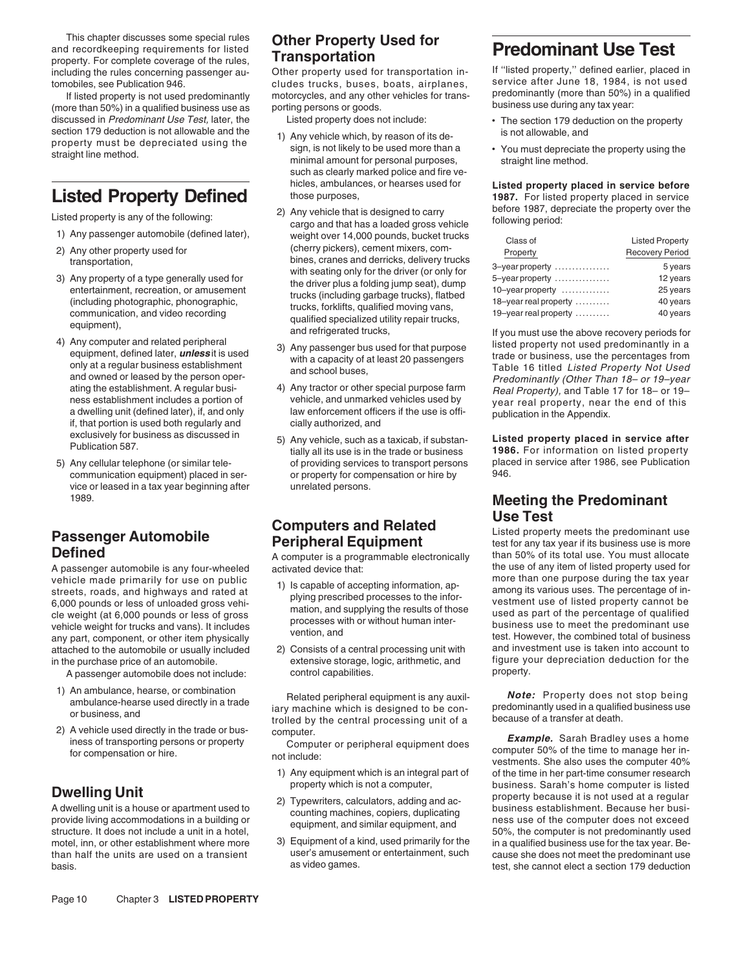This chapter discusses some special rules **Other Property Used for**<br>
and recordkeeping requirements for listed<br>
property. For complete coverage of the rules, **Transportation**<br>
including the rules concerning passenger au-<br>

discussed in Predominant Use Test, later, the Listed property does not include:<br>section 179 deduction is not allowable and the 11 Apu vobiolo which by rossen of its de is not allowable, and

- 
- 
- 
- 
- communication equipment) placed in ser- or property for compensation or hire by vice or leased in a tax year beginning after strangeneed persons.<br>1989

vehicle made primarily for use on public<br>streets, roads, and highways and rated at<br>6,000 pounds or less of unloaded gross vehi-<br>cle weight (at 6,000 pounds or less of gross of gross of gross of gross vehicle weight (at 6,0 attached to the automobile or usually included 2) Consists of a central processing unit with and investment use is taken into account to

A passenger automobile does not include:

- 
- 

including the rules concerning passenger au- Other property used for transportation in- If ''listed property,'' defined earlier, placed in tomobiles, see Publication 946.<br>If listed property is not used predominantly motorcycles, and any other vehicles for trans- predominantly (more than 50%) in a qualified If listed property is not used predominantly motorcycles, and any other vehicles for trans-<br>: (more than 50%) in a qualified business use as porting persons or goods. business use during any tax year:

- section 179 deduction is not allowable and the depreciated using the the minimal amount for peason of its de-<br>property must be depreciated using the sign, is not likely to be used more than a straight line method.<br>minimal such as clearly marked police and fire ve-
- Listed property is any of the following: any the 2) Any vehicle that is designed to carry and that has a loaded gross vehicle following period: cargo and that has a loaded gross vehicle following period: 1) Any passenger automobile (defined later), weight over 14,000 pounds, bucket trucks<br>2) Any other property used for (cherry pickers), cement mixers, com-Any other property used for (cherry pickers), cement mixers, com-<br>transportation, ransportation, example and periods bines, cranes and derricks, delivery trucks transportation,<br>
3) Any property of a type generally used for<br>
a republic the driver plus a folding joing seat), dump<br>
and dericks, the driver plus a folding joing seat), dump<br>
(including garbage trucks), flatbed<br>
(includi
	-
	- ating the establishment. A regular busi-<br>
	ness establishment includes a portion of the special purpose tarm and the special purpose tarm ness establishment includes a portion of the special purpose tarm a dwelling unit (de
		- of providing services to transport persons place<br>or property for compensation or hire by 946.

- 
- in the purchase price of an automobile. extensive storage, logic, arithmetic, and figure your depreciation of<br>A passenger automobile does not include: extensive storage it issues the property.

1) An ambulance, hearse, or combination<br>ambulance-hearse used directly in a trade<br>or business, and trade iary machine which is designed to be con-<br>trolled by the central processing unit of a because of a transfer at death.

- 
- 
- 

- 
- 

hicles, ambulances, or hearses used for **Listed property placed in service before Listed Property Defined** those purposes, 1987. For listed property placed in service below the service of the service of the service of the service of the property over the service of the property over the service of the

| <b>Listed Property</b> |
|------------------------|
| <b>Recovery Period</b> |
| 5 years                |
| 12 years               |
| 25 years               |
| 40 years               |
| 40 years               |
|                        |

exclusively for business as discussed in  $\begin{array}{r}5) \text{ Any vehicle, such as a taxicab, if subset} \\ \text{Publication 587.} \\ \text{Sublication 587.} \\ \text{Any cellular telephone (or similar tele-} \\ \text{of providing services to transport persons} \end{array}$ 

# **Meeting the Predominant**

**Passenger Automobile**<br> **Passenger Automobile**<br> **Peripheral Equipment** and the predominant use the predominant use<br>
A computer is a programmable electronically than 50% of its total use. You must allocate **Defined** A computer is a programmable electronically than 50% of its total use. You must allocate A passenger automobile is any four-wheeled activated device that:<br>
yehicle made primarily for use on public<br>
yehicle made primarily for use on public

2) A vehicle used directly in the trade or bus-<br>iness of transporting persons or property<br>for compensation or hire. only only the strangular or peripheral equipment does<br>for compensation or hire. https://westments. She als 1) Any equipment which is an integral part of of the time in her part-time consumer research property which is not a computer, business. Sarah's home computer is listed **Dwelling Unit**<br>
A dwelling unit is a house or apartment used to<br>
A dwelling unit is a house or apartment used to<br>
provide living accommodations in a building or<br>
structure. It does not include a unit in a hotel,<br>
Structur motel, inn, or other establishment where more and a sequipment of a kind, used primarily for the in a qualified business use for the tax year. Be-<br>than half the units are used on a transient user's amusement or entertainme than half the units are used on a transient user's amusement or entertainment, such cause she does not meet the predominant use<br>hasis. example ential a section 179 deduction basis. The cannot elect a section 179 deduction as video games. The cannot elect a section 179 deduction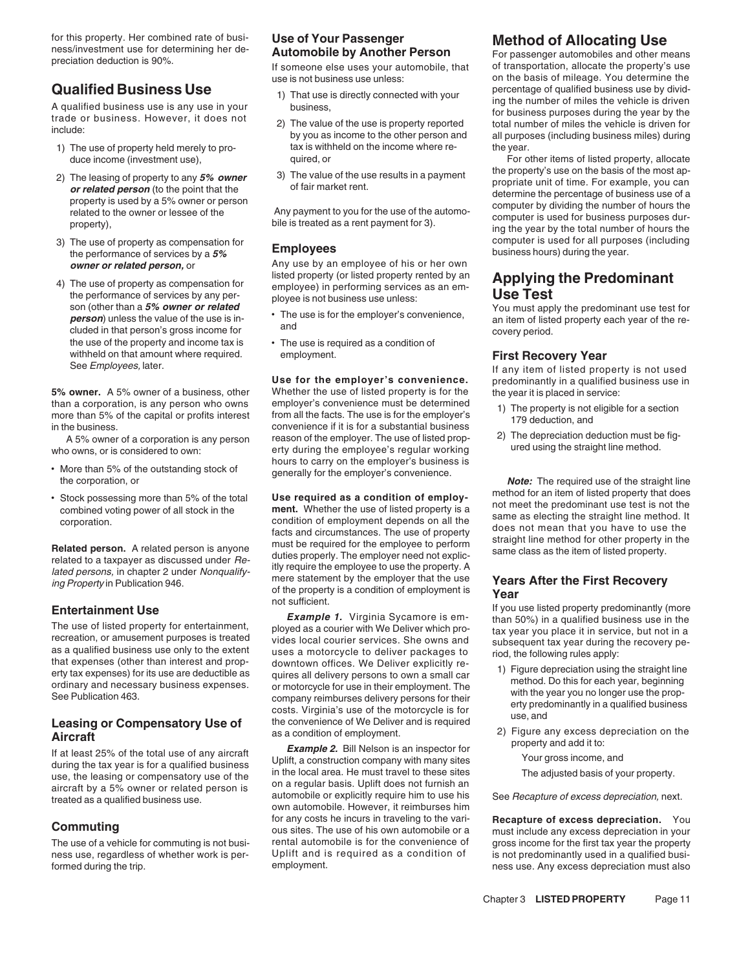for this property. Her combined rate of busi-<br>
ness/investment use for determining her de-<br> **Automobile by Another Person**<br>
If someone else uses your automobile, that by transportation, allocate the property's use

- 
- 
- 
- 4) The use of property as compensation for<br>the performance of services by any per-<br>son (other than a 5% owner or related<br>son (other than a 5% owner or related<br>outer than a 5% owner or related<br>outer than a 5% owner or rela son (other than a 5% owner or related<br>
person) unless the value of the use is in-<br>
cluded in that person's gross income for<br>
the use of the property and income tax is<br>  $\bullet$  The use is required as a condition of<br>
the use o withheld on that amount where required. employment. employment **First Recovery Year**<br>See Employees, later. If any item of listed property is not used<br>**Use for the employer's convenience.** Dredominantly in a qualified busin

- 
- 

- 
- 1) The use of property held merely to pro-<br>duce income (investment use) duce income (investment use) outlied, or  $\overline{C}$ 
	-

**owner or related person,** or **Any use by an employee of his or her own**<br>a listed property (or listed property rented by an

- 
- The use is required as a condition of

**Use for the employer's convenience.** predominantly in a qualified business use in Whether the use of listed property is for the strip placed in service: **5% owner.** A 5% owner of a business, other Whether the use of listed property is for the the year it is placed in service:<br>than a corporation, is any person who owns employer's convenience must be determined than a corporation, is any person who owns employer's convenience must be determined<br>more than 5% of the capital or profits interest from all the facts. The use is for the employer's 179 deduction, and<br>in the business. 2) The depreciation deduction must be fig-<br>2) A 5% owner of a corporation is any person reason of the employer. The use of listed prop-<br>2) The depreciation deduction must be fig-<br>2) The depreciation deduction must be fig-<br> who owns, or is considered to own:<br>hours to carry on the employer's business is hours to carry on the employer's business is<br>• More than 5% of the outstanding stock of generally for the employer's convenience.<br>**Note:** The required use of the straight line

combined voting power of all stock in the method. It combined voting power of all stock in the method. It comporation.<br>Comporation and the condition of employment depends on all the same as electing the straight line metho **Related person.** A related person is anyone must be required for the employee to perform straight line method for other property in the straight direction. A related persons, and also discussed under *Re*-<br>Integral of the Ing Property in Publication 946.<br>
ing Property in Publication 946.<br> **Entertainment Use** of the property is a condition of employment is **Year** *Near*<br> **Entertainment Use** of the property is a condition of employment is **Ye** 

Frequency of the the set of listed property for entertainment,<br>
The use of listed property for entertainment,<br>
recreation, or amusement purposes is treated<br>
as a qualified business use only to the extent<br>
as a qualified bu

**Aircraft**<br> **Aircraft**<br>
If at least 25% of the total use of any aircraft<br>
If at least 25% of the total use of any aircraft<br>
Uplift, a construction company with many sites<br>
use, the leasing or compensatory use of the<br>
aircr for any costs he incurs in traveling to the vari-**Recapture of excess depreciation.** You<br>cus sites. The use of his own automobile or a must include any excess depreciation in your<br>The use of a vehicle for commuting is not

use is not business use unless: on the basis of mileage. You determine the **Qualified Business Use**<br>
A qualified business use is any use in your<br>
trade or business. However, it does not<br>
include:<br>
a The value of the use is property reported<br>
by you as income to the other person and<br>
by you as inc

duce income (investment use), quired, or quired, or For other items of listed property, allocate<br>
The volve of the use results in a powment the property's use on the basis of the most appropriate the property's use on the 2) The leasing of property to any 5% owner and the value of the use results in a payment<br>
or related person (to the point that the<br>
property is used by a 5% owner or person<br>
related to the owner or lessee of the<br>
property) 3) The use of property as compensation for **Employees business hours)** during the performance of services by a **5% Employees business hours) during the year.** the performance of services by a **5% Employees busine** 

- 
- 

• Stock possessing more than 5% of the total **Use required as a condition of employ-** method for an item of listed property that does combined voting power of all stock in the **ment.** Whether the use of listed property is

sumclerit.<br>**Example 1.** Virginia Sycamore is em-<br>than 50%) in a qualified business use in the

- 
- -
	-

rental automobile is for the convenience of gross income for the first tax year the property<br>Uplift and is required as a condition of is not predominantly used in a qualified business use, regardless of whether work is per-<br>
employment. equired as a condition of is not predominantly used in a qualified busi-<br>
ness use. Any excess depreciation must also ness use. Any excess depreciation must also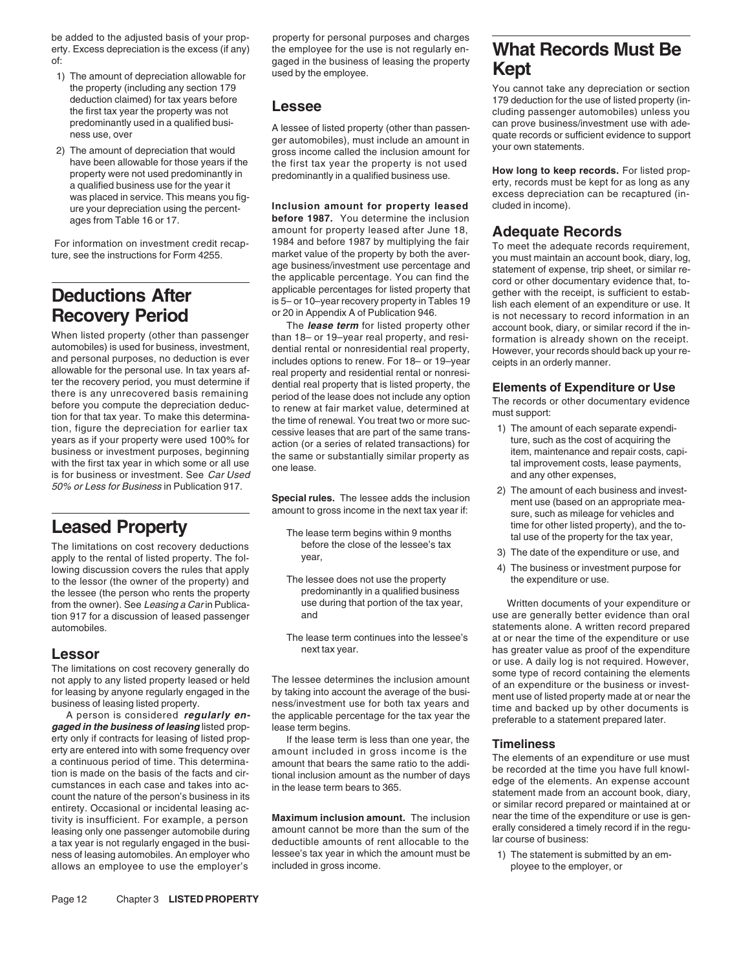be added to the adjusted basis of your prop-<br>
erty. Excess depreciation is the excess (if any) the employee for the use is not reqularly enerty. Excess depreciation is the excess (if any) the employee for the use is not regularly en- **What Records Must Be**

- used by the employee.<br>
1) The amount of depreciation allowable for used by the employee.<br>
1999 The property (including any section 179
- have been allowable for those years if the the first tax year the property is not used **How long to keep records.** For listed prop-<br>property were not used predominantly in predominantly in a qualified business use. **How lo**

tion, figure the depreciation for earlier tax cessive leases that are part of the same trans-<br>
years as if your property were used 100% for a series of related transactions) for business or investment purposes, beginning t

The limitations on cost recovery deductions before the cost of the cost of the carrier of the carrier of the following the following the matrix of the rental of the following the following vear. 3) The date of the rental or listed property deductions the section of the expenditure or use, and apply to the rental of listed property. The fol- year,<br>3) The date of the rental of listed property. The following discussi lowing discussion covers the rules that apply<br>to the lessor (the owner of the property) and The lessee does not use the property to the lessor (the owner of the property) and The lessee does not use the property the expenditure or use.<br>the lessee (the person who rents the property predominantly in a qualified business the lessee (the person who rents the property predominantly in a qualified business<br>from the owner). See Leasing a Carin Publica-<br>use during that portion of the tax year, from the owner). See Leasing a Carin Publica- use during that portion of the tax year, Written documents of your expenditure or<br>tion 917 for a discussion of leased passenger and and the state of the tax year, was are gener tion 917 for a discussion of leased passenger and

erty only if contracts for leasing of listed prop-<br>erty are entered into with some frequency over<br>a continuous period of time. This determina-<br>tion is made on the basis of the facts and cir-<br>cumstances in each case and tak entirety. Occasional or incidental leasing ac-<br>tivity is insufficient. For example, a person **Maximum inclusion amount.** The inclusion near the time of the expenditure or use is gen-<br>leasing only one passenger automobile d leasing only one passenger automobile during amount cannot be more than the sum of the erally considered a timely record if in the regu-<br>a tax year is not requiring only one passenger automobile during a deductible amounts a tax year is not regularly engaged in the busi-<br>ness of leasing automobiles. An employer who<br>lessee's tax year in which the amount must be ness of leasing automobiles. An employer who lessee's tax year in which the amount must be 1) The statement is submitted by an em-<br>allows an employee to use the employer's included in gross income. allows an employee to use the employer's included in gross income. The employee to the employer, or

gaged in the business of leasing the property

predominantly used in a qualified busi-<br>ness use, over an approperty (other than passen-<br>ger automobiles), must include an amount in quate records or sufficient evidence to support<br>2) The amount of depreciation that would

**Inclusion amount for property leased**<br>ages from Table 16 or 17. **before 1987.** You determine the inclusion **before 1987.** You determine the inclusion amount for property leased after June 18.

The **lease term** for listed property other<br>automobiles) is used for business, investment,<br>and personal purposes, no deduction is ever<br>allowable for the personal use. In tax years af-<br>ter the recovery period, you must deter

- 
- 
- 

You cannot take any depreciation or section deduction claimed) for tax years before **179** deduction for the use of listed property (in-<br>the first tax year the property was not **Lessee the first the cluding passenger automobiles**) unless you<br>predominantly used in a

was placed in service. This means you fig-<br>was placed in service. This means you fig-<br>ure your depreciation using the persont **inclusion amount for property leased** cluded in income).

For information on investment credit recap-<br>
ture, see the instructions for Form 4255.<br>
To meet the adequate Records requirement,<br>
ture, see the instructions for Form 4255.<br>
To meet the adequate records requirement,<br>
the a

- 
- -50% or Less for Business in Publication 917.<br>Special rules. The lessee adds the inclusion and use the amount of each business and invest-<br>amount to gross income in the next tax year if: such as mileage for vehicles and **Leased Property**<br>The lease term begins within 9 months tal use of the risted property), and the to-<br>The limitations on cost recovery deductions before the close of the lessee's tax
	-
	-

automobiles.<br>The lease term continues into the lessee's at or near the time of the expenditure or use at or near the time of the expenditure or use **Lessor**<br>
The limitations on cost recovery generally do<br>
not apply to any listed property leased or held<br>
for leasing by anyone regularly engaged in the<br>
business of leasing listed property.<br>
A person is considered **regula**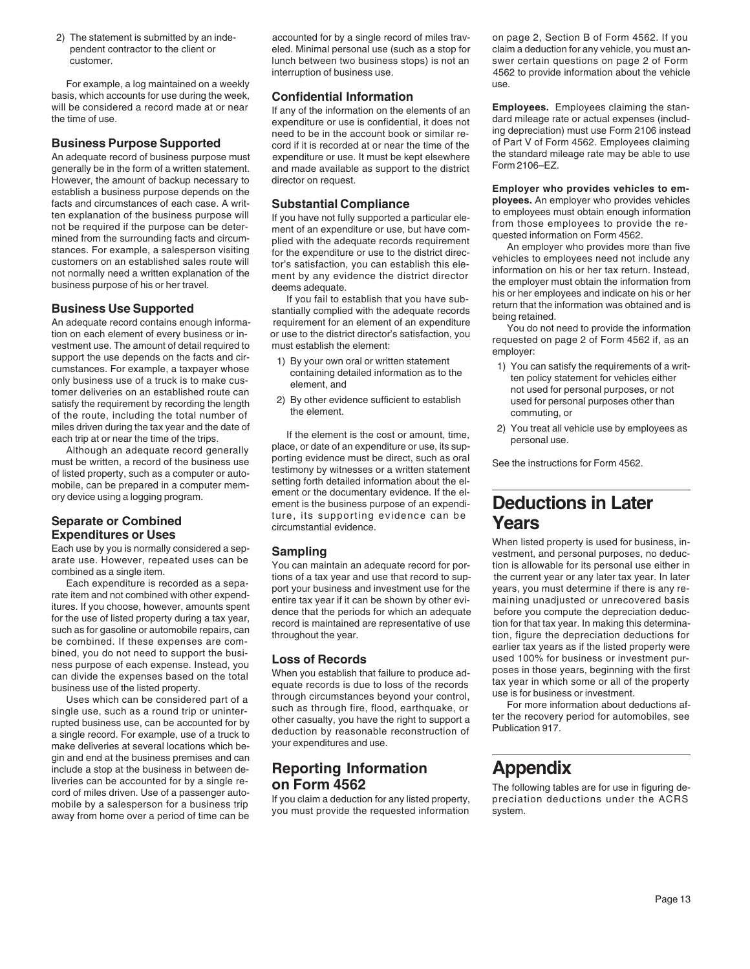For example, a log maintained on a weekly use. The state of the state of the state of the use. basis, which accounts for use during the week, **Confidential Information** 

An adequate record of business purpose must expenditure or use. It must be kept elsewhere the standard mile<br>generally be in the form of a written statement. and made available as support to the district Form 2106–EZ. However, the amount of backup necessary to director on request.<br>
How the act and circumstances of each case. A writter applainment of the business purpose depends on the<br>
facts and circumstances of each case. A writter exp

satisfy the requirement by recording the length 2) By other evidence sufficient to establish the satisfy the requirement by recording the length 2) By other evidence sufficient to establish used for personal purposes other of the route, including the total number of

make deliveries at several locations which be-<br>
your expenditures and use. gin and end at the business premises and can Friend the state and the business in between de-<br>liveries can be accounted for by a single re-<br>cord of miles driven. Use of a passenger auto-<br>mobile by a salesperson for a business trip if you claim a deduction for any lis

2) The statement is submitted by an inde- accounted for by a single record of miles trav- on page 2, Section B of Form 4562. If you eled. Minimal personal use (such as a stop for claim a deduction for any vehicle, you must ancustomer. lunch between two business stops) is not an swer certain questions on page 2 of Form interruption of business use. 4562 to provide information about the vehicle

**Business Purpose Supported** cord if it is recorded at or near the time of the of Part V of Form 4562. Employees claiming cord if it is recorded at or near the time of the of Part V of Form 4562. Employees claiming and adv and made available as support to the district

- 
- 

miles driven during the tax year and the date of<br>each trip at or near the time of the trips.<br>Although an adequate record generally<br>must be written, a record of the business use<br>of listed property, such as a computer or aut Separate or Combined **ture, its supporting evidence can be Years**<br>Expenditures or Uses

will be considered a record made at or near<br>the time of use. Employees claiming the stan-<br>expenditure or use is confidential, it does not<br>need to be in the account book or similar re-<br>ng depreciation) must use Form 2106 in

- 
- 

Expenditures or Uses<br>
arate use by oui some and the specifical sequence of the standard streament and property is used for business, in-<br>
arate use. However, repeated uses can be<br>
combined as a separe throm maintain an ade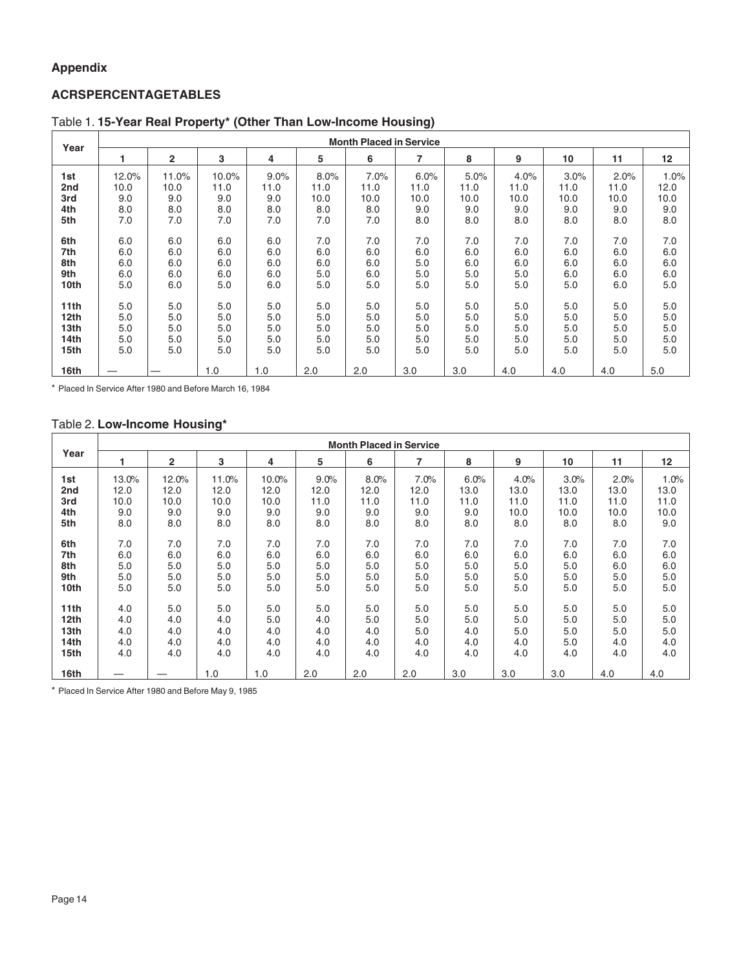### **Appendix**

### **ACRS PERCENTAGE TABLES**

|                  |       | <b>Month Placed in Service</b> |       |      |      |      |      |      |      |      |      |         |  |
|------------------|-------|--------------------------------|-------|------|------|------|------|------|------|------|------|---------|--|
| Year             |       | $\overline{2}$                 | 3     | 4    | 5    | 6    | 7    | 8    | 9    | 10   | 11   | 12      |  |
| 1st              | 12.0% | 11.0%                          | 10.0% | 9.0% | 8.0% | 7.0% | 6.0% | 5.0% | 4.0% | 3.0% | 2.0% | $1.0\%$ |  |
| 2nd              | 10.0  | 10.0                           | 11.0  | 11.0 | 11.0 | 11.0 | 11.0 | 11.0 | 11.0 | 11.0 | 11.0 | 12.0    |  |
| 3rd              | 9.0   | 9.0                            | 9.0   | 9.0  | 10.0 | 10.0 | 10.0 | 10.0 | 10.0 | 10.0 | 10.0 | 10.0    |  |
| 4th              | 8.0   | 8.0                            | 8.0   | 8.0  | 8.0  | 8.0  | 9.0  | 9.0  | 9.0  | 9.0  | 9.0  | 9.0     |  |
| 5th              | 7.0   | 7.0                            | 7.0   | 7.0  | 7.0  | 7.0  | 8.0  | 8.0  | 8.0  | 8.0  | 8.0  | 8.0     |  |
| 6th              | 6.0   | 6.0                            | 6.0   | 6.0  | 7.0  | 7.0  | 7.0  | 7.0  | 7.0  | 7.0  | 7.0  | 7.0     |  |
| 7th              | 6.0   | 6.0                            | 6.0   | 6.0  | 6.0  | 6.0  | 6.0  | 6.0  | 6.0  | 6.0  | 6.0  | 6.0     |  |
| 8th              | 6.0   | 6.0                            | 6.0   | 6.0  | 6.0  | 6.0  | 5.0  | 6.0  | 6.0  | 6.0  | 6.0  | 6.0     |  |
| 9th              | 6.0   | 6.0                            | 6.0   | 6.0  | 5.0  | 6.0  | 5.0  | 5.0  | 5.0  | 6.0  | 6.0  | 6.0     |  |
| 10th             | 5.0   | 6.0                            | 5.0   | 6.0  | 5.0  | 5.0  | 5.0  | 5.0  | 5.0  | 5.0  | 6.0  | 5.0     |  |
| 11 <sub>th</sub> | 5.0   | 5.0                            | 5.0   | 5.0  | 5.0  | 5.0  | 5.0  | 5.0  | 5.0  | 5.0  | 5.0  | 5.0     |  |
| 12th             | 5.0   | 5.0                            | 5.0   | 5.0  | 5.0  | 5.0  | 5.0  | 5.0  | 5.0  | 5.0  | 5.0  | 5.0     |  |
| 13th             | 5.0   | 5.0                            | 5.0   | 5.0  | 5.0  | 5.0  | 5.0  | 5.0  | 5.0  | 5.0  | 5.0  | 5.0     |  |
| 14th             | 5.0   | 5.0                            | 5.0   | 5.0  | 5.0  | 5.0  | 5.0  | 5.0  | 5.0  | 5.0  | 5.0  | 5.0     |  |
| 15th             | 5.0   | 5.0                            | 5.0   | 5.0  | 5.0  | 5.0  | 5.0  | 5.0  | 5.0  | 5.0  | 5.0  | 5.0     |  |
| 16th             |       |                                | 1.0   | 1.0  | 2.0  | 2.0  | 3.0  | 3.0  | 4.0  | 4.0  | 4.0  | 5.0     |  |

Table 1. **15-Year Real Property\* (Other Than Low-Income Housing)**

\* Placed In Service After 1980 and Before March 16, 1984

### Table 2. **Low-Income Housing\***

|                  |       | <b>Month Placed in Service</b> |       |       |      |      |      |      |      |      |      |                   |  |
|------------------|-------|--------------------------------|-------|-------|------|------|------|------|------|------|------|-------------------|--|
| Year             | 1     | $\mathbf{2}$                   | 3     | 4     | 5    | 6    | 7    | 8    | 9    | 10   | 11   | $12 \overline{ }$ |  |
| 1st              | 13.0% | 12.0%                          | 11.0% | 10.0% | 9.0% | 8.0% | 7.0% | 6.0% | 4.0% | 3.0% | 2.0% | 1.0%              |  |
| 2nd              | 12.0  | 12.0                           | 12.0  | 12.0  | 12.0 | 12.0 | 12.0 | 13.0 | 13.0 | 13.0 | 13.0 | 13.0              |  |
| 3rd              | 10.0  | 10.0                           | 10.0  | 10.0  | 11.0 | 11.0 | 11.0 | 11.0 | 11.0 | 11.0 | 11.0 | 11.0              |  |
| 4th              | 9.0   | 9.0                            | 9.0   | 9.0   | 9.0  | 9.0  | 9.0  | 9.0  | 10.0 | 10.0 | 10.0 | 10.0              |  |
| 5th              | 8.0   | 8.0                            | 8.0   | 8.0   | 8.0  | 8.0  | 8.0  | 8.0  | 8.0  | 8.0  | 8.0  | 9.0               |  |
|                  |       |                                |       |       |      |      |      |      |      |      |      |                   |  |
| 6th              | 7.0   | 7.0                            | 7.0   | 7.0   | 7.0  | 7.0  | 7.0  | 7.0  | 7.0  | 7.0  | 7.0  | 7.0               |  |
| 7th              | 6.0   | 6.0                            | 6.0   | 6.0   | 6.0  | 6.0  | 6.0  | 6.0  | 6.0  | 6.0  | 6.0  | 6.0               |  |
| 8th              | 5.0   | 5.0                            | 5.0   | 5.0   | 5.0  | 5.0  | 5.0  | 5.0  | 5.0  | 5.0  | 6.0  | 6.0               |  |
| 9th              | 5.0   | 5.0                            | 5.0   | 5.0   | 5.0  | 5.0  | 5.0  | 5.0  | 5.0  | 5.0  | 5.0  | 5.0               |  |
| 10th             | 5.0   | 5.0                            | 5.0   | 5.0   | 5.0  | 5.0  | 5.0  | 5.0  | 5.0  | 5.0  | 5.0  | 5.0               |  |
|                  |       |                                |       |       |      |      |      |      |      |      |      |                   |  |
| 11th             | 4.0   | 5.0                            | 5.0   | 5.0   | 5.0  | 5.0  | 5.0  | 5.0  | 5.0  | 5.0  | 5.0  | 5.0               |  |
| 12 <sub>th</sub> | 4.0   | 4.0                            | 4.0   | 5.0   | 4.0  | 5.0  | 5.0  | 5.0  | 5.0  | 5.0  | 5.0  | 5.0               |  |
| 13th             | 4.0   | 4.0                            | 4.0   | 4.0   | 4.0  | 4.0  | 5.0  | 4.0  | 5.0  | 5.0  | 5.0  | 5.0               |  |
| 14th             | 4.0   | 4.0                            | 4.0   | 4.0   | 4.0  | 4.0  | 4.0  | 4.0  | 4.0  | 5.0  | 4.0  | 4.0               |  |
| 15th             | 4.0   | 4.0                            | 4.0   | 4.0   | 4.0  | 4.0  | 4.0  | 4.0  | 4.0  | 4.0  | 4.0  | 4.0               |  |
|                  |       |                                |       |       |      |      |      |      |      |      |      |                   |  |
| 16th             |       |                                | 1.0   | 1.0   | 2.0  | 2.0  | 2.0  | 3.0  | 3.0  | 3.0  | 4.0  | 4.0               |  |

\* Placed In Service After 1980 and Before May 9, 1985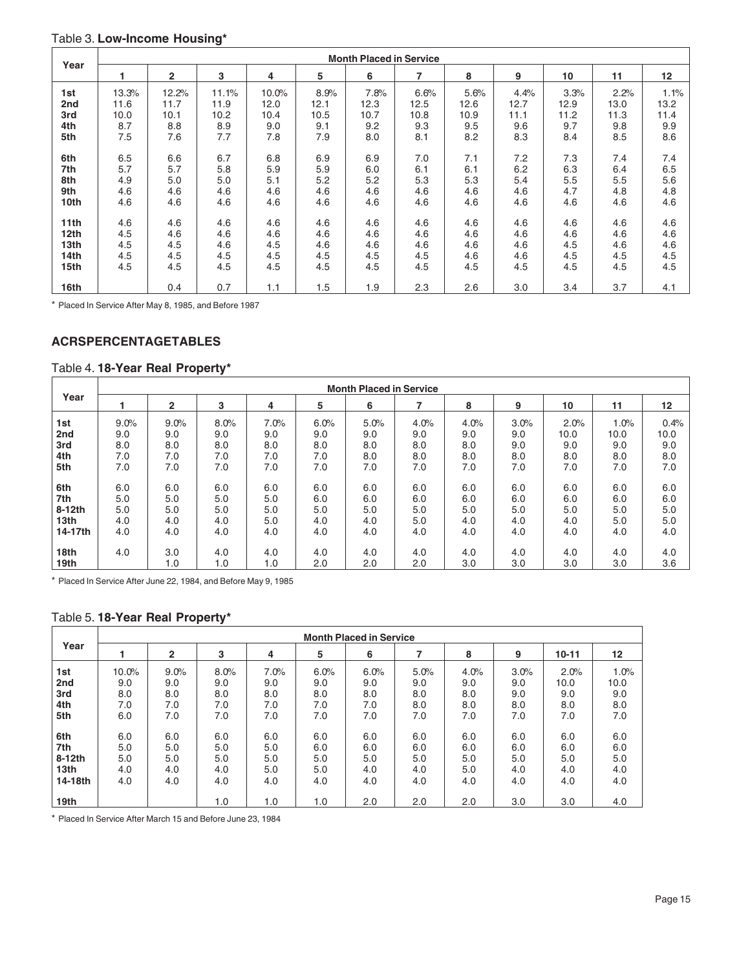### Table 3. **Low-Income Housing\***

| Year             |       | <b>Month Placed in Service</b> |       |       |      |      |      |      |      |      |      |      |  |
|------------------|-------|--------------------------------|-------|-------|------|------|------|------|------|------|------|------|--|
|                  |       | $\overline{2}$                 | 3     | 4     | 5    | 6    | 7    | 8    | 9    | 10   | 11   | 12   |  |
| 1st              | 13.3% | 12.2%                          | 11.1% | 10.0% | 8.9% | 7.8% | 6.6% | 5.6% | 4.4% | 3.3% | 2.2% | 1.1% |  |
| 2nd              | 11.6  | 11.7                           | 11.9  | 12.0  | 12.1 | 12.3 | 12.5 | 12.6 | 12.7 | 12.9 | 13.0 | 13.2 |  |
| 3rd              | 10.0  | 10.1                           | 10.2  | 10.4  | 10.5 | 10.7 | 10.8 | 10.9 | 11.1 | 11.2 | 11.3 | 11.4 |  |
| 4th              | 8.7   | 8.8                            | 8.9   | 9.0   | 9.1  | 9.2  | 9.3  | 9.5  | 9.6  | 9.7  | 9.8  | 9.9  |  |
| 5th              | 7.5   | 7.6                            | 7.7   | 7.8   | 7.9  | 8.0  | 8.1  | 8.2  | 8.3  | 8.4  | 8.5  | 8.6  |  |
|                  |       |                                |       |       |      |      |      |      |      |      |      |      |  |
| 6th              | 6.5   | 6.6                            | 6.7   | 6.8   | 6.9  | 6.9  | 7.0  | 7.1  | 7.2  | 7.3  | 7.4  | 7.4  |  |
| 7th              | 5.7   | 5.7                            | 5.8   | 5.9   | 5.9  | 6.0  | 6.1  | 6.1  | 6.2  | 6.3  | 6.4  | 6.5  |  |
| 8th              | 4.9   | 5.0                            | 5.0   | 5.1   | 5.2  | 5.2  | 5.3  | 5.3  | 5.4  | 5.5  | 5.5  | 5.6  |  |
| 9th              | 4.6   | 4.6                            | 4.6   | 4.6   | 4.6  | 4.6  | 4.6  | 4.6  | 4.6  | 4.7  | 4.8  | 4.8  |  |
| 10th             | 4.6   | 4.6                            | 4.6   | 4.6   | 4.6  | 4.6  | 4.6  | 4.6  | 4.6  | 4.6  | 4.6  | 4.6  |  |
|                  |       |                                |       |       |      |      |      |      |      |      |      |      |  |
| 11th             | 4.6   | 4.6                            | 4.6   | 4.6   | 4.6  | 4.6  | 4.6  | 4.6  | 4.6  | 4.6  | 4.6  | 4.6  |  |
| 12 <sub>th</sub> | 4.5   | 4.6                            | 4.6   | 4.6   | 4.6  | 4.6  | 4.6  | 4.6  | 4.6  | 4.6  | 4.6  | 4.6  |  |
| 13th             | 4.5   | 4.5                            | 4.6   | 4.5   | 4.6  | 4.6  | 4.6  | 4.6  | 4.6  | 4.5  | 4.6  | 4.6  |  |
| 14th             | 4.5   | 4.5                            | 4.5   | 4.5   | 4.5  | 4.5  | 4.5  | 4.6  | 4.6  | 4.5  | 4.5  | 4.5  |  |
| 15th             | 4.5   | 4.5                            | 4.5   | 4.5   | 4.5  | 4.5  | 4.5  | 4.5  | 4.5  | 4.5  | 4.5  | 4.5  |  |
|                  |       |                                |       |       |      |      |      |      |      |      |      |      |  |
| 16th             |       | 0.4                            | 0.7   | 1.1   | 1.5  | 1.9  | 2.3  | 2.6  | 3.0  | 3.4  | 3.7  | 4.1  |  |

\* Placed In Service After May 8, 1985, and Before 1987

### **ACRS PERCENTAGE TABLES**

### Table 4. **18-Year Real Property\***

|                             |            | <b>Month Placed in Service</b> |             |            |            |            |            |             |            |             |             |             |  |
|-----------------------------|------------|--------------------------------|-------------|------------|------------|------------|------------|-------------|------------|-------------|-------------|-------------|--|
| Year                        |            | 2                              | 3           | 4          | 5          | 6          | 7          | 8           | 9          | 10          | 11          | 12          |  |
| 1st                         | 9.0%       | 9.0%                           | 8.0%<br>9.0 | 7.0%       | 6.0%       | 5.0%       | 4.0%       | 4.0%<br>9.0 | 3.0%       | 2.0%        | 1.0%        | 0.4%        |  |
| 2nd<br>3rd                  | 9.0<br>8.0 | 9.0<br>8.0                     | 8.0         | 9.0<br>8.0 | 9.0<br>8.0 | 9.0<br>8.0 | 9.0<br>8.0 | 8.0         | 9.0<br>9.0 | 10.0<br>9.0 | 10.0<br>9.0 | 10.0<br>9.0 |  |
| 4th<br>5th                  | 7.0<br>7.0 | 7.0<br>7.0                     | 7.0<br>7.0  | 7.0<br>7.0 | 7.0<br>7.0 | 8.0<br>7.0 | 8.0<br>7.0 | 8.0<br>7.0  | 8.0<br>7.0 | 8.0<br>7.0  | 8.0<br>7.0  | 8.0<br>7.0  |  |
| 6th                         | 6.0        | 6.0                            | 6.0         | 6.0        | 6.0        | 6.0        | 6.0        | 6.0         | 6.0        | 6.0         | 6.0         | 6.0         |  |
| 7th<br>8-12th               | 5.0<br>5.0 | 5.0<br>5.0                     | 5.0<br>5.0  | 5.0<br>5.0 | 6.0<br>5.0 | 6.0<br>5.0 | 6.0<br>5.0 | 6.0<br>5.0  | 6.0<br>5.0 | 6.0<br>5.0  | 6.0<br>5.0  | 6.0<br>5.0  |  |
| 13 <sub>th</sub><br>14-17th | 4.0<br>4.0 | 4.0<br>4.0                     | 4.0<br>4.0  | 5.0<br>4.0 | 4.0<br>4.0 | 4.0<br>4.0 | 5.0<br>4.0 | 4.0<br>4.0  | 4.0<br>4.0 | 4.0<br>4.0  | 5.0<br>4.0  | 5.0<br>4.0  |  |
| 18th                        | 4.0        | 3.0                            | 4.0         | 4.0        | 4.0        | 4.0        | 4.0        | 4.0         | 4.0        | 4.0         | 4.0         | 4.0         |  |
| 19th                        |            | 1.0                            | 1.0         | 1.0        | 2.0        | 2.0        | 2.0        | 3.0         | 3.0        | 3.0         | 3.0         | 3.6         |  |

\* Placed In Service After June 22, 1984, and Before May 9, 1985

### Table 5. **18-Year Real Property\***

|                  |       | <b>Month Placed in Service</b> |      |      |      |      |      |      |      |           |      |  |  |  |  |
|------------------|-------|--------------------------------|------|------|------|------|------|------|------|-----------|------|--|--|--|--|
| Year             |       | $\overline{2}$                 | 3    | 4    | 5    | 6    |      | 8    | 9    | $10 - 11$ | 12   |  |  |  |  |
| 1st              | 10.0% | 9.0%                           | 8.0% | 7.0% | 6.0% | 6.0% | 5.0% | 4.0% | 3.0% | 2.0%      | 1.0% |  |  |  |  |
| 2nd              | 9.0   | 9.0                            | 9.0  | 9.0  | 9.0  | 9.0  | 9.0  | 9.0  | 9.0  | 10.0      | 10.0 |  |  |  |  |
| 3rd              | 8.0   | 8.0                            | 8.0  | 8.0  | 8.0  | 8.0  | 8.0  | 8.0  | 9.0  | 9.0       | 9.0  |  |  |  |  |
| 4th              | 7.0   | 7.0                            | 7.0  | 7.0  | 7.0  | 7.0  | 8.0  | 8.0  | 8.0  | 8.0       | 8.0  |  |  |  |  |
| 5th              | 6.0   | 7.0                            | 7.0  | 7.0  | 7.0  | 7.0  | 7.0  | 7.0  | 7.0  | 7.0       | 7.0  |  |  |  |  |
|                  |       |                                |      |      |      |      |      |      |      |           |      |  |  |  |  |
| 6th              | 6.0   | 6.0                            | 6.0  | 6.0  | 6.0  | 6.0  | 6.0  | 6.0  | 6.0  | 6.0       | 6.0  |  |  |  |  |
| 7th              | 5.0   | 5.0                            | 5.0  | 5.0  | 6.0  | 6.0  | 6.0  | 6.0  | 6.0  | 6.0       | 6.0  |  |  |  |  |
| 8-12th           | 5.0   | 5.0                            | 5.0  | 5.0  | 5.0  | 5.0  | 5.0  | 5.0  | 5.0  | 5.0       | 5.0  |  |  |  |  |
| 13 <sub>th</sub> | 4.0   | 4.0                            | 4.0  | 5.0  | 5.0  | 4.0  | 4.0  | 5.0  | 4.0  | 4.0       | 4.0  |  |  |  |  |
| 14-18th          | 4.0   | 4.0                            | 4.0  | 4.0  | 4.0  | 4.0  | 4.0  | 4.0  | 4.0  | 4.0       | 4.0  |  |  |  |  |
|                  |       |                                |      |      |      |      |      |      |      |           |      |  |  |  |  |
| 19th             |       |                                | 1.0  | 1.0  | 1.0  | 2.0  | 2.0  | 2.0  | 3.0  | 3.0       | 4.0  |  |  |  |  |

\* Placed In Service After March 15 and Before June 23, 1984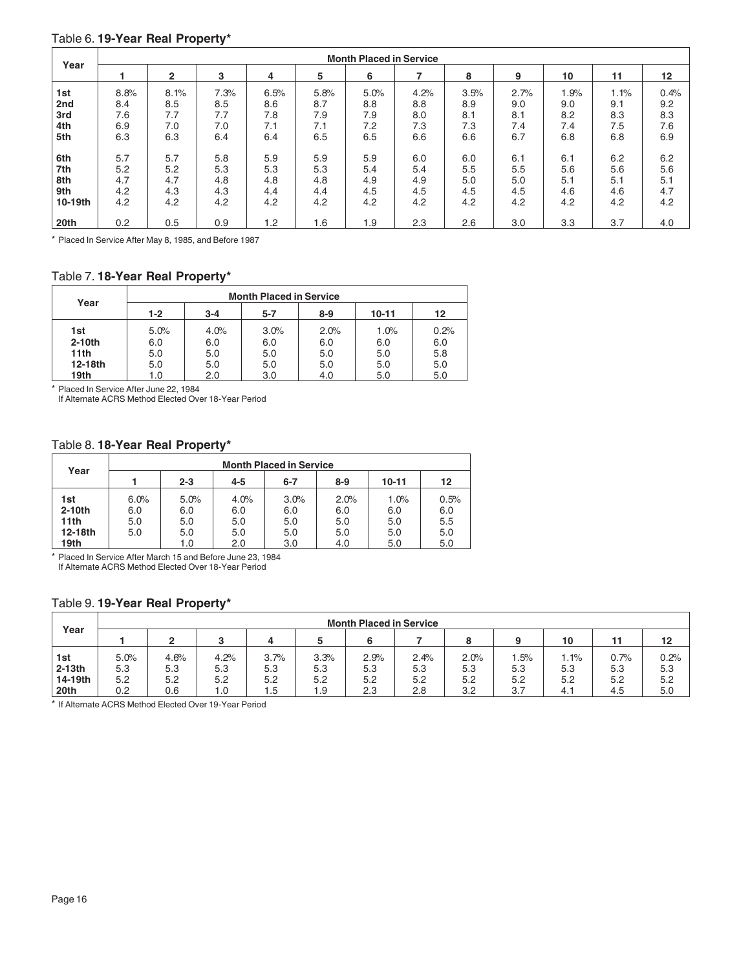### Table 6. **19-Year Real Property\***

| Year    |      | <b>Month Placed in Service</b> |      |      |      |      |      |      |      |      |      |         |  |
|---------|------|--------------------------------|------|------|------|------|------|------|------|------|------|---------|--|
|         |      | $\mathbf{2}$                   | 3    | 4    | 5    | 6    |      | 8    | 9    | 10   | 11   | $12 \,$ |  |
| 1st     | 8.8% | 8.1%                           | 7.3% | 6.5% | 5.8% | 5.0% | 4.2% | 3.5% | 2.7% | 1.9% | 1.1% | 0.4%    |  |
| 2nd     | 8.4  | 8.5                            | 8.5  | 8.6  | 8.7  | 8.8  | 8.8  | 8.9  | 9.0  | 9.0  | 9.1  | 9.2     |  |
| 3rd     | 7.6  | 7.7                            | 7.7  | 7.8  | 7.9  | 7.9  | 8.0  | 8.1  | 8.1  | 8.2  | 8.3  | 8.3     |  |
| 4th     | 6.9  | 7.0                            | 7.0  | 7.1  | 7.1  | 7.2  | 7.3  | 7.3  | 7.4  | 7.4  | 7.5  | 7.6     |  |
| 5th     | 6.3  | 6.3                            | 6.4  | 6.4  | 6.5  | 6.5  | 6.6  | 6.6  | 6.7  | 6.8  | 6.8  | 6.9     |  |
| 6th     | 5.7  | 5.7                            | 5.8  | 5.9  | 5.9  | 5.9  | 6.0  | 6.0  | 6.1  | 6.1  | 6.2  | 6.2     |  |
| 7th     | 5.2  | 5.2                            | 5.3  | 5.3  | 5.3  | 5.4  | 5.4  | 5.5  | 5.5  | 5.6  | 5.6  | 5.6     |  |
| 8th     | 4.7  | 4.7                            | 4.8  | 4.8  | 4.8  | 4.9  | 4.9  | 5.0  | 5.0  | 5.1  | 5.1  | 5.1     |  |
| 9th     | 4.2  | 4.3                            | 4.3  | 4.4  | 4.4  | 4.5  | 4.5  | 4.5  | 4.5  | 4.6  | 4.6  | 4.7     |  |
| 10-19th | 4.2  | 4.2                            | 4.2  | 4.2  | 4.2  | 4.2  | 4.2  | 4.2  | 4.2  | 4.2  | 4.2  | 4.2     |  |
| 20th    | 0.2  | 0.5                            | 0.9  | 1.2  | 1.6  | 1.9  | 2.3  | 2.6  | 3.0  | 3.3  | 3.7  | 4.0     |  |

\* Placed In Service After May 8, 1985, and Before 1987

### Table 7. **18-Year Real Property\***

| Year      | <b>Month Placed in Service</b> |         |         |         |           |      |  |  |  |  |  |
|-----------|--------------------------------|---------|---------|---------|-----------|------|--|--|--|--|--|
|           | $1 - 2$                        | $3 - 4$ | $5 - 7$ | $8 - 9$ | $10 - 11$ | 12   |  |  |  |  |  |
| 1st       | 5.0%                           | 4.0%    | 3.0%    | 2.0%    | 1.0%      | 0.2% |  |  |  |  |  |
| $2-10$ th | 6.0                            | 6.0     | 6.0     | 6.0     | 6.0       | 6.0  |  |  |  |  |  |
| 11th      | 5.0                            | 5.0     | 5.0     | 5.0     | 5.0       | 5.8  |  |  |  |  |  |
| 12-18th   | 5.0                            | 5.0     | 5.0     | 5.0     | 5.0       | 5.0  |  |  |  |  |  |
| 19th      | 1.0                            | 2.0     | 3.0     | 4.0     | 5.0       | 5.0  |  |  |  |  |  |

\* Placed In Service After June 22, 1984 If Alternate ACRS Method Elected Over 18-Year Period

### Table 8. **18-Year Real Property\***

| Year      | <b>Month Placed in Service</b> |         |         |         |         |           |      |  |  |  |  |  |
|-----------|--------------------------------|---------|---------|---------|---------|-----------|------|--|--|--|--|--|
|           |                                | $2 - 3$ | $4 - 5$ | $6 - 7$ | $8 - 9$ | $10 - 11$ | 12   |  |  |  |  |  |
| 1st       | 6.0%                           | 5.0%    | 4.0%    | 3.0%    | 2.0%    | 1.0%      | 0.5% |  |  |  |  |  |
| $2-10$ th | 6.0                            | 6.0     | 6.0     | 6.0     | 6.0     | 6.0       | 6.0  |  |  |  |  |  |
| 11th      | 5.0                            | 5.0     | 5.0     | 5.0     | 5.0     | 5.0       | 5.5  |  |  |  |  |  |
| 12-18th   | 5.0                            | 5.0     | 5.0     | 5.0     | 5.0     | 5.0       | 5.0  |  |  |  |  |  |
| 19th      |                                | 1.0     | 2.0     | 3.0     | 4.0     | 5.0       | 5.0  |  |  |  |  |  |

\* Placed In Service After March 15 and Before June 23, 1984 If Alternate ACRS Method Elected Over 18-Year Period

### Table 9. **19-Year Real Property\***

| Year              |            | <b>Month Placed in Service</b> |            |            |            |            |            |            |            |            |            |            |
|-------------------|------------|--------------------------------|------------|------------|------------|------------|------------|------------|------------|------------|------------|------------|
|                   |            | ົ                              |            | 4          |            |            |            |            |            | 10         |            | 12         |
| 1st               | 5.0%       | 4.6%                           | 4.2%       | 3.7%       | 3.3%       | 2.9%       | 2.4%       | 2.0%       | .5%        | $.1\%$     | 0.7%       | 0.2%       |
| 2-13th<br>14-19th | 5.3<br>5.2 | 5.3<br>5.2                     | 5.3<br>5.2 | 5.3<br>5.2 | 5.3<br>5.2 | 5.3<br>5.2 | 5.3<br>5.2 | 5.3<br>5.2 | 5.3<br>5.2 | 5.3<br>5.2 | 5.3<br>5.2 | 5.3<br>5.2 |
| 20th              | 0.2        | 0.6                            | 1.0        | 1.5        | 1.9        | 2.3        | 2.8        | 3.2        | 3.7        | 4.1        | 4.5        | 5.0        |

\* If Alternate ACRS Method Elected Over 19-Year Period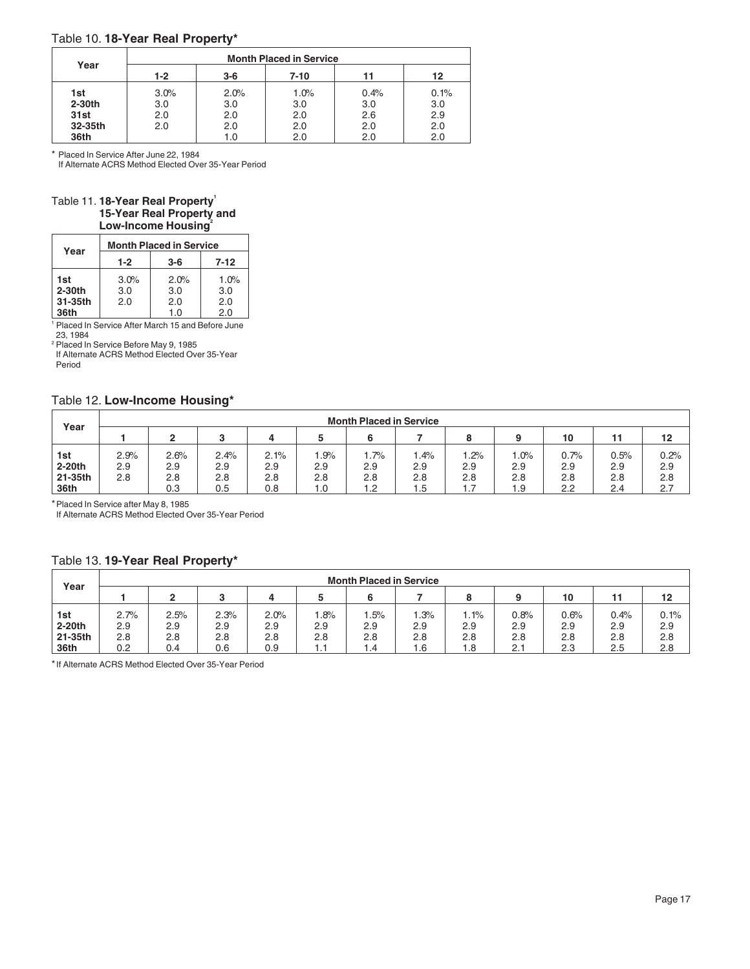### Table 10. **18-Year Real Property\***

| Year    |       |       | <b>Month Placed in Service</b> |      |      |
|---------|-------|-------|--------------------------------|------|------|
|         | $1-2$ | $3-6$ | 7-10                           | 11   | 12   |
| 1st     | 3.0%  | 2.0%  | 1.0%                           | 0.4% | 0.1% |
| 2-30th  | 3.0   | 3.0   | 3.0                            | 3.0  | 3.0  |
| 31st    | 2.0   | 2.0   | 2.0                            | 2.6  | 2.9  |
| 32-35th | 2.0   | 2.0   | 2.0                            | 2.0  | 2.0  |
| 36th    |       | 1.0   | 2.0                            | 2.0  | 2.0  |

\* Placed In Service After June 22, 1984

If Alternate ACRS Method Elected Over 35-Year Period

### Table 11. 18-Year Real Property<sup>1</sup> **15-Year Real Property and Low-Income Housing**<sup>2</sup>

| Year     |       | <b>Month Placed in Service</b> |          |
|----------|-------|--------------------------------|----------|
|          | $1-2$ | $3-6$                          | $7 - 12$ |
| 1st      | 3.0%  | 2.0%                           | 1.0%     |
| $2-30th$ | 3.0   | 3.0                            | 3.0      |
| 31-35th  | 2.0   | 2.0                            | 2.0      |
| 36th     |       | 1.0                            | 2.0      |

<sup>1</sup> Placed In Service After March 15 and Before June

23, 1984<br><sup>2</sup> Placed In Service Before May 9, 1985

If Alternate ACRS Method Elected Over 35-Year Period

### Table 12. **Low-Income Housing\***

| Year                     |                    | <b>Month Placed in Service</b> |                    |                    |                   |                   |                   |                   |                   |                    |                    |                    |  |  |
|--------------------------|--------------------|--------------------------------|--------------------|--------------------|-------------------|-------------------|-------------------|-------------------|-------------------|--------------------|--------------------|--------------------|--|--|
|                          |                    | 10<br>12                       |                    |                    |                   |                   |                   |                   |                   |                    |                    |                    |  |  |
| 1st<br>2-20th<br>21-35th | 2.9%<br>2.9<br>2.8 | 2.6%<br>2.9<br>2.8             | 2.4%<br>2.9<br>2.8 | 2.1%<br>2.9<br>2.8 | .9%<br>2.9<br>2.8 | .7%<br>2.9<br>2.8 | .4%<br>2.9<br>2.8 | .2%<br>2.9<br>2.8 | .0%<br>2.9<br>2.8 | 0.7%<br>2.9<br>2.8 | 0.5%<br>2.9<br>2.8 | 0.2%<br>2.9<br>2.8 |  |  |
| 36th                     |                    | 0.3                            | 0.5                | 0.8                | 1.0               | 1.2               | 1.5               | .                 | 1.9               | 2.2                | 2.4                | 2.7                |  |  |

\*Placed In Service after May 8, 1985

If Alternate ACRS Method Elected Over 35-Year Period

### Table 13. **19-Year Real Property\***

| Year    | <b>Month Placed in Service</b> |      |      |      |     |     |     |      |      |      |      |      |  |  |
|---------|--------------------------------|------|------|------|-----|-----|-----|------|------|------|------|------|--|--|
|         |                                | ົ    | ົ    |      |     |     |     |      |      | 10   |      | 12   |  |  |
| 1st     | 2.7%                           | 2.5% | 2.3% | 2.0% | .8% | .5% | .3% | 1.1% | 0.8% | 0.6% | 0.4% | 0.1% |  |  |
| 2-20th  | 2.9                            | 2.9  | 2.9  | 2.9  | 2.9 | 2.9 | 2.9 | 2.9  | 2.9  | 2.9  | 2.9  | 2.9  |  |  |
| 21-35th | 2.8                            | 2.8  | 2.8  | 2.8  | 2.8 | 2.8 | 2.8 | 2.8  | 2.8  | 2.8  | 2.8  | 2.8  |  |  |
| 36th    | 0.2                            | 0.4  | 0.6  | 0.9  | 1.1 | 1.4 | 1.6 | 1.8  | 2.1  | 2.3  | 2.5  | 2.8  |  |  |

\*If Alternate ACRS Method Elected Over 35-Year Period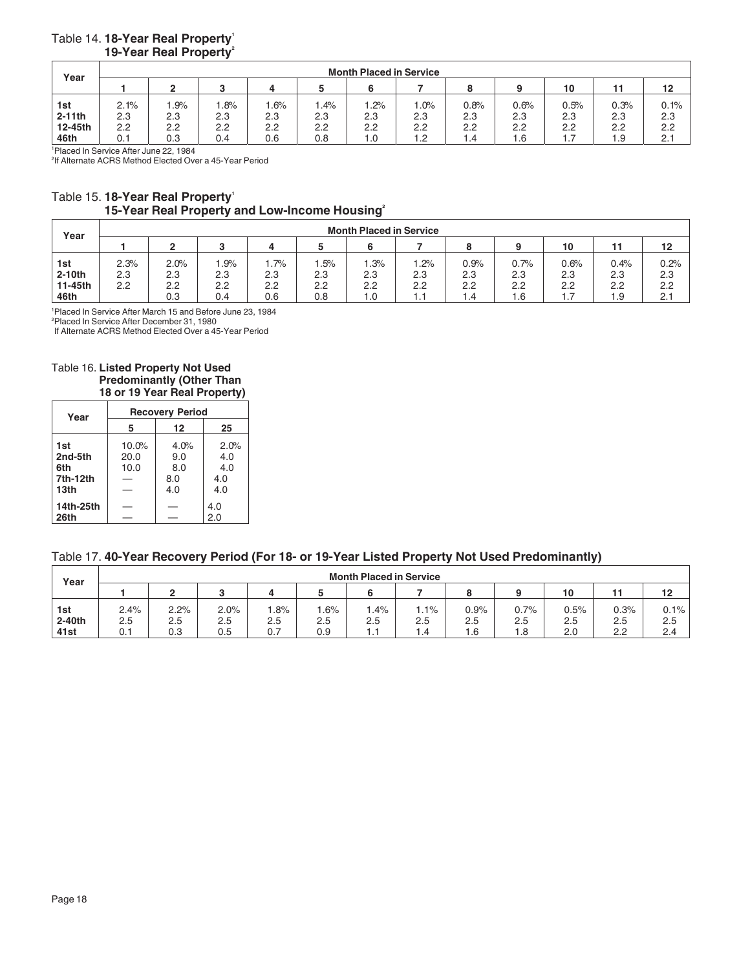|  | Table 14. 18-Year Real Property'   |
|--|------------------------------------|
|  | 19-Year Real Property <sup>2</sup> |

| Year     |      | <b>Month Placed in Service</b> |     |     |     |     |        |      |      |      |      |      |  |  |  |
|----------|------|--------------------------------|-----|-----|-----|-----|--------|------|------|------|------|------|--|--|--|
|          |      |                                | o   |     |     |     |        |      |      | 10   |      | 12   |  |  |  |
| 1st      | 2.1% | .9%                            | .8% | .6% | .4% | .2% | $.0\%$ | 0.8% | 0.6% | 0.5% | 0.3% | 0.1% |  |  |  |
| $2-11th$ | 2.3  | 2.3                            | 2.3 | 2.3 | 2.3 | 2.3 | 2.3    | 2.3  | 2.3  | 2.3  | 2.3  | 2.3  |  |  |  |
| 12-45th  | 2.2  | 2.2                            | 2.2 | 2.2 | 2.2 | 2.2 | 2.2    | 2.2  | 2.2  | 2.2  | 2.2  | 2.2  |  |  |  |
| 46th     | 0.1  | 0.3                            | 0.4 | 0.6 | 0.8 | 1.0 | 1.2    | 4. ۱ | 1.6  | 1.7  | 1.9  | 2.1  |  |  |  |

1 Placed In Service After June 22, 1984

2 If Alternate ACRS Method Elected Over a 45-Year Period

### Table 15. 18-Year Real Property<sup>1</sup> **15-Year Real Property and Low-Income Housing2**

| Year    | <b>Month Placed in Service</b> |               |     |        |     |     |     |      |      |      |      |      |  |  |
|---------|--------------------------------|---------------|-----|--------|-----|-----|-----|------|------|------|------|------|--|--|
|         |                                | 10<br>12<br>4 |     |        |     |     |     |      |      |      |      |      |  |  |
| 1st     | 2.3%                           | 2.0%          | .9% | $.7\%$ | .5% | .3% | .2% | 0.9% | 0.7% | 0.6% | 0.4% | 0.2% |  |  |
| 2-10th  | 2.3                            | 2.3           | 2.3 | 2.3    | 2.3 | 2.3 | 2.3 | 2.3  | 2.3  | 2.3  | 2.3  | 2.3  |  |  |
| 11-45th | 2.2                            | 2.2           | 2.2 | 2.2    | 2.2 | 2.2 | 2.2 | 2.2  | 2.2  | 2.2  | 2.2  | 2.2  |  |  |
| 46th    |                                | 0.3           | 0.4 | 0.6    | 0.8 | 1.0 | . . | . .4 | ں.   | 1.7  | 1.9  | 2.1  |  |  |

1 Placed In Service After March 15 and Before June 23, 1984

2 Placed In Service After December 31, 1980

If Alternate ACRS Method Elected Over a 45-Year Period

### Table 16. **Listed Property Not Used Predominantly (Other Than 18 or 19 Year Real Property)**

| Year             |       | <b>Recovery Period</b> |      |
|------------------|-------|------------------------|------|
|                  | 5     | 12                     | 25   |
| 1st              | 10.0% | 4.0%                   | 2.0% |
| 2nd-5th          | 20.0  | 9.0                    | 4.0  |
| 6th              | 10.0  | 8.0                    | 4.0  |
| 7th-12th         |       | 8.0                    | 4.0  |
| 13 <sub>th</sub> |       | 4.0                    | 4.0  |
| 14th-25th        |       |                        | 4.0  |
| 26th             |       |                        | 2.0  |

### Table 17. **40-Year Recovery Period (For 18- or 19-Year Listed Property Not Used Predominantly)**

| Year             |      | <b>Month Placed in Service</b> |         |     |     |     |                  |      |      |      |      |         |  |  |  |
|------------------|------|--------------------------------|---------|-----|-----|-----|------------------|------|------|------|------|---------|--|--|--|
|                  |      | ົ                              | o       | 4   |     |     |                  |      |      | 10   |      | 12      |  |  |  |
| 1st              | 2.4% | 2.2%                           | 2.0%    | .8% | .6% | .4% | $.1\%$           | 0.9% | 0.7% | 0.5% | 0.3% | $0.1\%$ |  |  |  |
| 2-40th           | 2.5  | 2.5                            | $2.5\,$ | 2.5 | 2.5 | 2.5 | 2.5              | 2.5  | 2.5  | 2.5  | 2.5  | 2.5     |  |  |  |
| 41 <sub>st</sub> | 0.1  | 0.3                            | 0.5     | 0.7 | 0.9 | . . | $\overline{1.4}$ | 1.6  | 1.8  | 2.0  | 2.2  | 2.4     |  |  |  |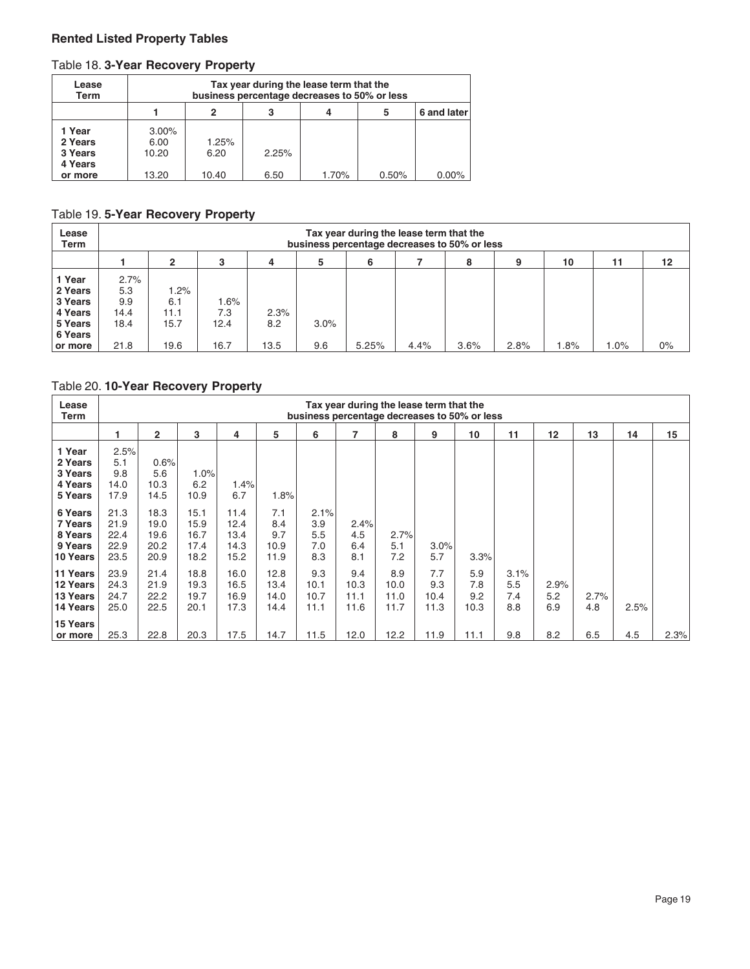### **Rented Listed Property Tables**

### Table 18. **3-Year Recovery Property**

| Lease<br>Term                           |                           |                       | Tax year during the lease term that the<br>business percentage decreases to 50% or less |       |       |          |  |  |  |  |  |  |  |  |
|-----------------------------------------|---------------------------|-----------------------|-----------------------------------------------------------------------------------------|-------|-------|----------|--|--|--|--|--|--|--|--|
|                                         |                           | 6 and later<br>5<br>2 |                                                                                         |       |       |          |  |  |  |  |  |  |  |  |
| 1 Year<br>2 Years<br>3 Years<br>4 Years | $3.00\%$<br>6.00<br>10.20 | 1.25%<br>6.20         | 2.25%                                                                                   |       |       |          |  |  |  |  |  |  |  |  |
| or more                                 | 13.20                     | 10.40                 | 6.50                                                                                    | 1.70% | 0.50% | $0.00\%$ |  |  |  |  |  |  |  |  |

### Table 19. **5-Year Recovery Property**

| Lease<br>Term                                                 |                                    | Tax year during the lease term that the<br>business percentage decreases to 50% or less |                        |             |      |       |      |      |      |     |         |       |  |  |
|---------------------------------------------------------------|------------------------------------|-----------------------------------------------------------------------------------------|------------------------|-------------|------|-------|------|------|------|-----|---------|-------|--|--|
|                                                               |                                    | 5<br>6<br>3<br>10<br>12<br>8<br>2<br>9<br>11<br>4                                       |                        |             |      |       |      |      |      |     |         |       |  |  |
| 1 Year<br>2 Years<br>3 Years<br>4 Years<br>5 Years<br>6 Years | 2.7%<br>5.3<br>9.9<br>14.4<br>18.4 | $1.2\%$<br>6.1<br>11.1<br>15.7                                                          | $1.6\%$<br>7.3<br>12.4 | 2.3%<br>8.2 | 3.0% |       |      |      |      |     |         |       |  |  |
| or more                                                       | 21.8                               | 19.6                                                                                    | 16.7                   | 13.5        | 9.6  | 5.25% | 4.4% | 3.6% | 2.8% | .8% | $1.0\%$ | $0\%$ |  |  |

### Table 20. **10-Year Recovery Property**

| Lease          |      |                |      |      |      |      |      |      | Tax year during the lease term that the      |      |      |      |      |      |      |
|----------------|------|----------------|------|------|------|------|------|------|----------------------------------------------|------|------|------|------|------|------|
| Term           |      |                |      |      |      |      |      |      | business percentage decreases to 50% or less |      |      |      |      |      |      |
|                |      | $\overline{2}$ | 3    | 4    | 5    | 6    | 7    | 8    | 9                                            | 10   | 11   | 12   | 13   | 14   | 15   |
| 1 Year         | 2.5% |                |      |      |      |      |      |      |                                              |      |      |      |      |      |      |
| 2 Years        | 5.1  | 0.6%           |      |      |      |      |      |      |                                              |      |      |      |      |      |      |
| 3 Years        | 9.8  | 5.6            | 1.0% |      |      |      |      |      |                                              |      |      |      |      |      |      |
| 4 Years        | 14.0 | 10.3           | 6.2  | 1.4% |      |      |      |      |                                              |      |      |      |      |      |      |
| 5 Years        | 17.9 | 14.5           | 10.9 | 6.7  | 1.8% |      |      |      |                                              |      |      |      |      |      |      |
| 6 Years        | 21.3 | 18.3           | 15.1 | 11.4 | 7.1  | 2.1% |      |      |                                              |      |      |      |      |      |      |
| <b>7 Years</b> | 21.9 | 19.0           | 15.9 | 12.4 | 8.4  | 3.9  | 2.4% |      |                                              |      |      |      |      |      |      |
| 8 Years        | 22.4 | 19.6           | 16.7 | 13.4 | 9.7  | 5.5  | 4.5  | 2.7% |                                              |      |      |      |      |      |      |
| 9 Years        | 22.9 | 20.2           | 17.4 | 14.3 | 10.9 | 7.0  | 6.4  | 5.1  | 3.0%                                         |      |      |      |      |      |      |
| 10 Years       | 23.5 | 20.9           | 18.2 | 15.2 | 11.9 | 8.3  | 8.1  | 7.2  | 5.7                                          | 3.3% |      |      |      |      |      |
| 11 Years       | 23.9 | 21.4           | 18.8 | 16.0 | 12.8 | 9.3  | 9.4  | 8.9  | 7.7                                          | 5.9  | 3.1% |      |      |      |      |
| 12 Years       | 24.3 | 21.9           | 19.3 | 16.5 | 13.4 | 10.1 | 10.3 | 10.0 | 9.3                                          | 7.8  | 5.5  | 2.9% |      |      |      |
| 13 Years       | 24.7 | 22.2           | 19.7 | 16.9 | 14.0 | 10.7 | 11.1 | 11.0 | 10.4                                         | 9.2  | 7.4  | 5.2  | 2.7% |      |      |
| 14 Years       | 25.0 | 22.5           | 20.1 | 17.3 | 14.4 | 11.1 | 11.6 | 11.7 | 11.3                                         | 10.3 | 8.8  | 6.9  | 4.8  | 2.5% |      |
| 15 Years       |      |                |      |      |      |      |      |      |                                              |      |      |      |      |      |      |
| or more        | 25.3 | 22.8           | 20.3 | 17.5 | 14.7 | 11.5 | 12.0 | 12.2 | 11.9                                         | 11.1 | 9.8  | 8.2  | 6.5  | 4.5  | 2.3% |